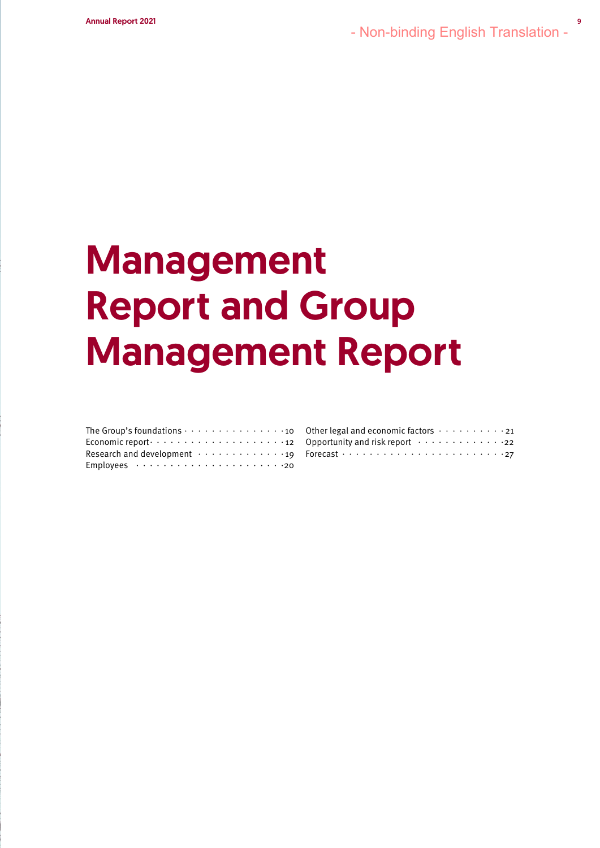# Management Report and Group Management Report

| The Group's foundations $\cdots$ $\cdots$ $\cdots$ $\cdots$ $\cdots$ $\cdots$ 10 Other legal and economic factors $\cdots$ $\cdots$ $\cdots$ $\cdots$ 21                                                                                |  |
|-----------------------------------------------------------------------------------------------------------------------------------------------------------------------------------------------------------------------------------------|--|
| Economic report $\cdots$ $\cdots$ $\cdots$ $\cdots$ $\cdots$ $\cdots$ $\cdots$ $\cdots$ $\cdots$ $\cdots$ $\cdots$ $\cdots$ $\cdots$ $\cdots$ $\cdots$ $\cdots$ $\cdots$ $\cdots$ $\cdots$ $\cdots$ $\cdots$ $\cdots$ $\cdots$ $\cdots$ |  |
| Research and development $\cdots \cdots \cdots \cdots \cdots$ 19 Forecast $\cdots \cdots \cdots \cdots \cdots \cdots \cdots \cdots \cdots$ 27                                                                                           |  |
| Employees $\cdots \cdots \cdots \cdots \cdots \cdots \cdots \cdots$                                                                                                                                                                     |  |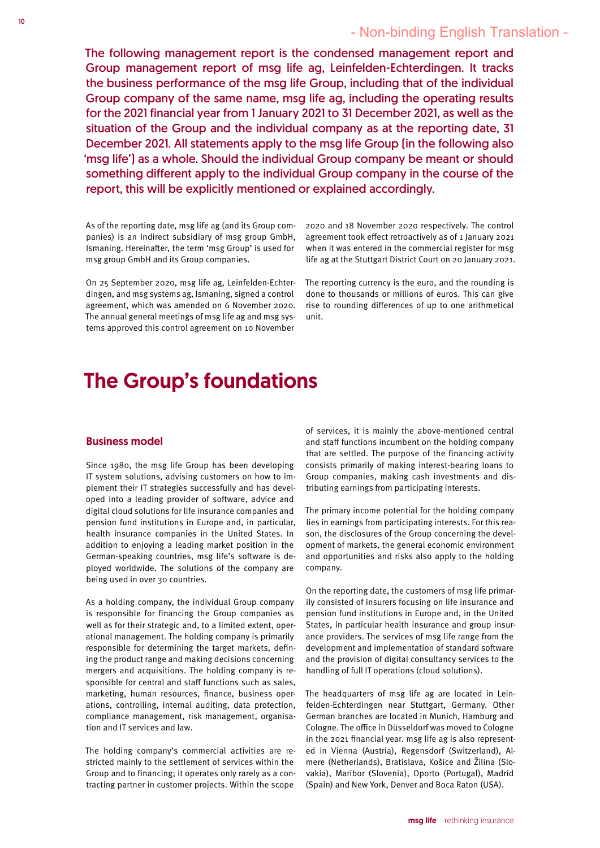<span id="page-1-0"></span>The following management report is the condensed management report and Group management report of msg life ag, Leinfelden-Echterdingen. It tracks the business performance of the msg life Group, including that of the individual Group company of the same name, msg life ag, including the operating results for the 2021 financial year from 1 January 2021 to 31 December 2021, as well as the situation of the Group and the individual company as at the reporting date, 31 December 2021. All statements apply to the msg life Group (in the following also 'msg life') as a whole. Should the individual Group company be meant or should something different apply to the individual Group company in the course of the report, this will be explicitly mentioned or explained accordingly.

As of the reporting date, msg life ag (and its Group companies) is an indirect subsidiary of msg group GmbH, Ismaning. Hereinafter, the term 'msg Group' is used for msg group GmbH and its Group companies.

On 25 September 2020, msg life ag, Leinfelden-Echterdingen, and msg systems ag, Ismaning, signed a control agreement, which was amended on 6 November 2020. The annual general meetings of msg life ag and msg systems approved this control agreement on 10 November

2020 and 18 November 2020 respectively. The control agreement took effect retroactively as of 1 January 2021 when it was entered in the commercial register for msg life ag at the Stuttgart District Court on 20 January 2021.

The reporting currency is the euro, and the rounding is done to thousands or millions of euros. This can give rise to rounding differences of up to one arithmetical unit.

# The Group's foundations

#### Business model

Since 1980, the msg life Group has been developing IT system solutions, advising customers on how to implement their IT strategies successfully and has developed into a leading provider of software, advice and digital cloud solutions for life insurance companies and pension fund institutions in Europe and, in particular, health insurance companies in the United States. In addition to enjoying a leading market position in the German-speaking countries, msg life's software is deployed worldwide. The solutions of the company are being used in over 30 countries.

As a holding company, the individual Group company is responsible for financing the Group companies as well as for their strategic and, to a limited extent, operational management. The holding company is primarily responsible for determining the target markets, defining the product range and making decisions concerning mergers and acquisitions. The holding company is responsible for central and staff functions such as sales, marketing, human resources, finance, business operations, controlling, internal auditing, data protection, compliance management, risk management, organisation and IT services and law.

The holding company's commercial activities are restricted mainly to the settlement of services within the Group and to financing; it operates only rarely as a contracting partner in customer projects. Within the scope

of services, it is mainly the above-mentioned central and staff functions incumbent on the holding company that are settled. The purpose of the financing activity consists primarily of making interest-bearing loans to Group companies, making cash investments and distributing earnings from participating interests.

The primary income potential for the holding company lies in earnings from participating interests. For this reason, the disclosures of the Group concerning the development of markets, the general economic environment and opportunities and risks also apply to the holding company.

On the reporting date, the customers of msg life primarily consisted of insurers focusing on life insurance and pension fund institutions in Europe and, in the United States, in particular health insurance and group insurance providers. The services of msg life range from the development and implementation of standard software and the provision of digital consultancy services to the handling of full IT operations (cloud solutions).

The headquarters of msg life ag are located in Leinfelden-Echterdingen near Stuttgart, Germany. Other German branches are located in Munich, Hamburg and Cologne. The office in Düsseldorf was moved to Cologne in the 2021 financial year. msg life ag is also represented in Vienna (Austria), Regensdorf (Switzerland), Almere (Netherlands), Bratislava, Košice and Žilina (Slovakia), Maribor (Slovenia), Oporto (Portugal), Madrid (Spain) and New York, Denver and Boca Raton (USA).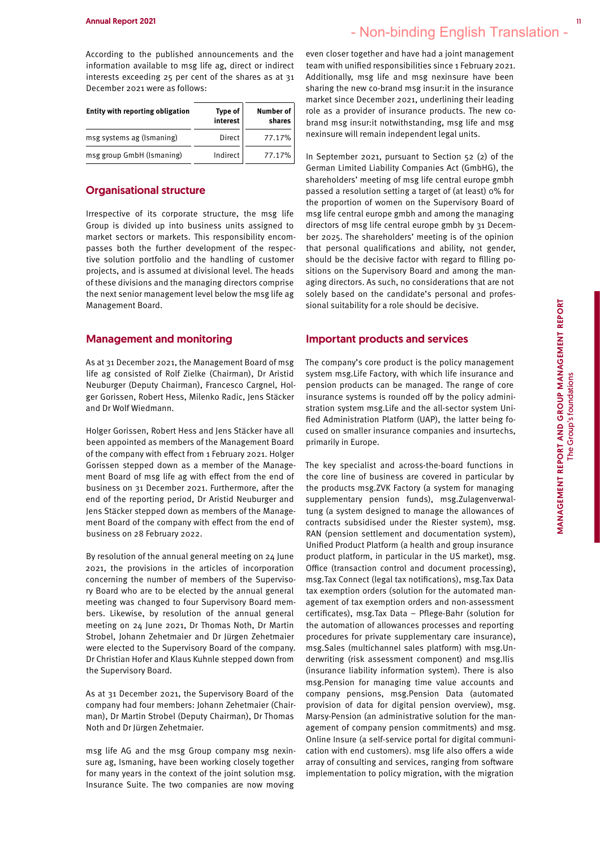According to the published announcements and the information available to msg life ag, direct or indirect interests exceeding 25 per cent of the shares as at 31 December 2021 were as follows:

| Entity with reporting obligation | Type of<br>interest | Number of<br>shares |
|----------------------------------|---------------------|---------------------|
| msg systems ag (Ismaning)        | Direct              | 77.17%              |
| msg group GmbH (Ismaning)        | Indirect            | 77.17%              |

#### Organisational structure

Irrespective of its corporate structure, the msg life Group is divided up into business units assigned to market sectors or markets. This responsibility encompasses both the further development of the respective solution portfolio and the handling of customer projects, and is assumed at divisional level. The heads of these divisions and the managing directors comprise the next senior management level below the msg life ag Management Board.

#### Management and monitoring

As at 31 December 2021, the Management Board of msg life ag consisted of Rolf Zielke (Chairman), Dr Aristid Neuburger (Deputy Chairman), Francesco Cargnel, Holger Gorissen, Robert Hess, Milenko Radic, Jens Stäcker and Dr Wolf Wiedmann.

Holger Gorissen, Robert Hess and Jens Stäcker have all been appointed as members of the Management Board of the company with effect from 1 February 2021. Holger Gorissen stepped down as a member of the Management Board of msg life ag with effect from the end of business on 31 December 2021. Furthermore, after the end of the reporting period, Dr Aristid Neuburger and Jens Stäcker stepped down as members of the Management Board of the company with effect from the end of business on 28 February 2022.

By resolution of the annual general meeting on 24 June 2021, the provisions in the articles of incorporation concerning the number of members of the Supervisory Board who are to be elected by the annual general meeting was changed to four Supervisory Board members. Likewise, by resolution of the annual general meeting on 24 June 2021, Dr Thomas Noth, Dr Martin Strobel, Johann Zehetmaier and Dr Jürgen Zehetmaier were elected to the Supervisory Board of the company. Dr Christian Hofer and Klaus Kuhnle stepped down from the Supervisory Board.

As at 31 December 2021, the Supervisory Board of the company had four members: Johann Zehetmaier (Chairman), Dr Martin Strobel (Deputy Chairman), Dr Thomas Noth and Dr Jürgen Zehetmaier.

msg life AG and the msg Group company msg nexinsure ag, Ismaning, have been working closely together for many years in the context of the joint solution msg. Insurance Suite. The two companies are now moving

even closer together and have had a joint management team with unified responsibilities since 1 February 2021. Additionally, msg life and msg nexinsure have been sharing the new co-brand msg insur:it in the insurance market since December 2021, underlining their leading role as a provider of insurance products. The new cobrand msg insur:it notwithstanding, msg life and msg nexinsure will remain independent legal units.

In September 2021, pursuant to Section 52 (2) of the German Limited Liability Companies Act (GmbHG), the shareholders' meeting of msg life central europe gmbh passed a resolution setting a target of (at least) 0% for the proportion of women on the Supervisory Board of msg life central europe gmbh and among the managing directors of msg life central europe gmbh by 31 December 2025. The shareholders' meeting is of the opinion that personal qualifications and ability, not gender, should be the decisive factor with regard to filling positions on the Supervisory Board and among the managing directors. As such, no considerations that are not solely based on the candidate's personal and professional suitability for a role should be decisive.

#### Important products and services

The company's core product is the policy management system msg.Life Factory, with which life insurance and pension products can be managed. The range of core insurance systems is rounded off by the policy administration system msg.Life and the all-sector system Unified Administration Platform (UAP), the latter being focused on smaller insurance companies and insurtechs, primarily in Europe.

The key specialist and across-the-board functions in the core line of business are covered in particular by the products msg.ZVK Factory (a system for managing supplementary pension funds), msg.Zulagenverwaltung (a system designed to manage the allowances of contracts subsidised under the Riester system), msg. RAN (pension settlement and documentation system), Unified Product Platform (a health and group insurance product platform, in particular in the US market), msg. Office (transaction control and document processing), msg.Tax Connect (legal tax notifications), msg.Tax Data tax exemption orders (solution for the automated management of tax exemption orders and non-assessment certificates), msg.Tax Data – Pflege-Bahr (solution for the automation of allowances processes and reporting procedures for private supplementary care insurance), msg.Sales (multichannel sales platform) with msg.Underwriting (risk assessment component) and msg.Ilis (insurance liability information system). There is also msg.Pension for managing time value accounts and company pensions, msg.Pension Data (automated provision of data for digital pension overview), msg. Marsy-Pension (an administrative solution for the management of company pension commitments) and msg. Online Insure (a self-service portal for digital communication with end customers). msg life also offers a wide array of consulting and services, ranging from software implementation to policy migration, with the migration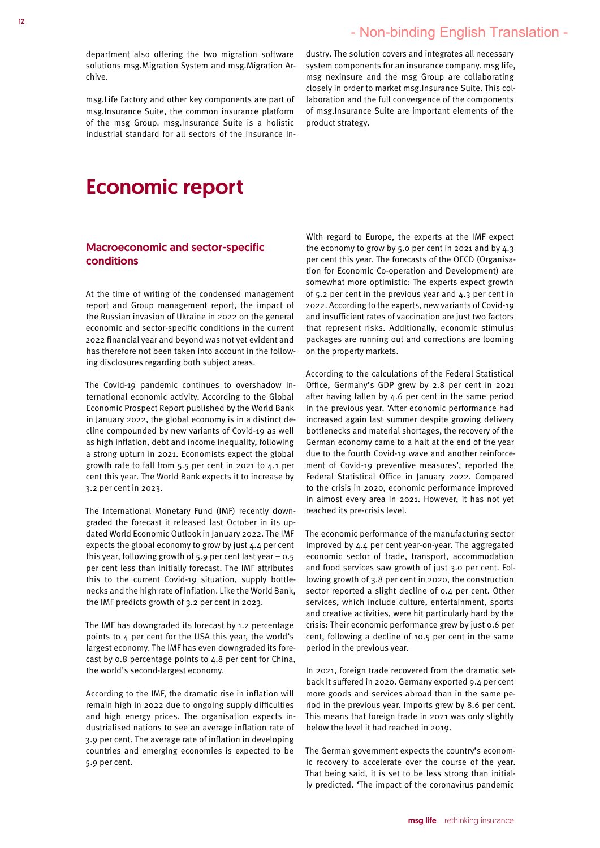<span id="page-3-0"></span>department also offering the two migration software solutions msg.Migration System and msg.Migration Archive.

msg.Life Factory and other key components are part of msg.Insurance Suite, the common insurance platform of the msg Group. msg.Insurance Suite is a holistic industrial standard for all sectors of the insurance in-

dustry. The solution covers and integrates all necessary system components for an insurance company. msg life, msg nexinsure and the msg Group are collaborating closely in order to market msg.Insurance Suite. This collaboration and the full convergence of the components of msg.Insurance Suite are important elements of the product strategy.

# Economic report

#### Macroeconomic and sector-specific conditions

At the time of writing of the condensed management report and Group management report, the impact of the Russian invasion of Ukraine in 2022 on the general economic and sector-specific conditions in the current 2022 financial year and beyond was not yet evident and has therefore not been taken into account in the following disclosures regarding both subject areas.

The Covid-19 pandemic continues to overshadow international economic activity. According to the Global Economic Prospect Report published by the World Bank in January 2022, the global economy is in a distinct decline compounded by new variants of Covid-19 as well as high inflation, debt and income inequality, following a strong upturn in 2021. Economists expect the global growth rate to fall from 5.5 per cent in 2021 to 4.1 per cent this year. The World Bank expects it to increase by 3.2 per cent in 2023.

The International Monetary Fund (IMF) recently downgraded the forecast it released last October in its updated World Economic Outlook in January 2022. The IMF expects the global economy to grow by just 4.4 per cent this year, following growth of 5.9 per cent last year  $-$  0.5 per cent less than initially forecast. The IMF attributes this to the current Covid-19 situation, supply bottlenecks and the high rate of inflation. Like the World Bank, the IMF predicts growth of 3.2 per cent in 2023.

The IMF has downgraded its forecast by 1.2 percentage points to 4 per cent for the USA this year, the world's largest economy. The IMF has even downgraded its forecast by 0.8 percentage points to 4.8 per cent for China, the world's second-largest economy.

According to the IMF, the dramatic rise in inflation will remain high in 2022 due to ongoing supply difficulties and high energy prices. The organisation expects industrialised nations to see an average inflation rate of 3.9 per cent. The average rate of inflation in developing countries and emerging economies is expected to be 5.9 per cent.

With regard to Europe, the experts at the IMF expect the economy to grow by 5.0 per cent in 2021 and by 4.3 per cent this year. The forecasts of the OECD (Organisation for Economic Co-operation and Development) are somewhat more optimistic: The experts expect growth of  $5.2$  per cent in the previous year and  $4.3$  per cent in 2022. According to the experts, new variants of Covid-19 and insufficient rates of vaccination are just two factors that represent risks. Additionally, economic stimulus packages are running out and corrections are looming on the property markets.

According to the calculations of the Federal Statistical Office, Germany's GDP grew by 2.8 per cent in 2021 after having fallen by 4.6 per cent in the same period in the previous year. 'After economic performance had increased again last summer despite growing delivery bottlenecks and material shortages, the recovery of the German economy came to a halt at the end of the year due to the fourth Covid-19 wave and another reinforcement of Covid-19 preventive measures', reported the Federal Statistical Office in January 2022. Compared to the crisis in 2020, economic performance improved in almost every area in 2021. However, it has not yet reached its pre-crisis level.

The economic performance of the manufacturing sector improved by 4.4 per cent year-on-year. The aggregated economic sector of trade, transport, accommodation and food services saw growth of just 3.0 per cent. Following growth of 3.8 per cent in 2020, the construction sector reported a slight decline of 0.4 per cent. Other services, which include culture, entertainment, sports and creative activities, were hit particularly hard by the crisis: Their economic performance grew by just 0.6 per cent, following a decline of 10.5 per cent in the same period in the previous year.

In 2021, foreign trade recovered from the dramatic setback it suffered in 2020. Germany exported 9.4 per cent more goods and services abroad than in the same period in the previous year. Imports grew by 8.6 per cent. This means that foreign trade in 2021 was only slightly below the level it had reached in 2019.

The German government expects the country's economic recovery to accelerate over the course of the year. That being said, it is set to be less strong than initially predicted. 'The impact of the coronavirus pandemic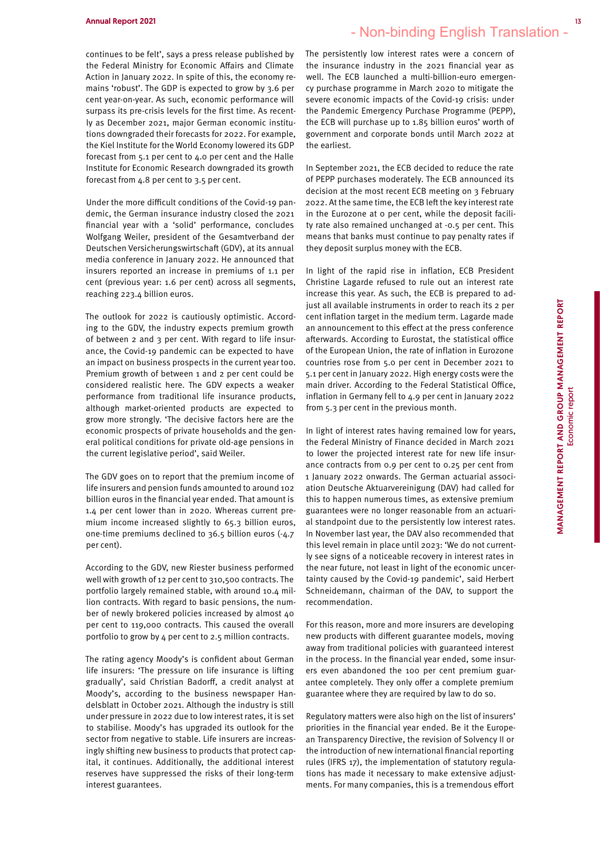continues to be felt', says a press release published by the Federal Ministry for Economic Affairs and Climate Action in January 2022. In spite of this, the economy remains 'robust'. The GDP is expected to grow by 3.6 per cent year-on-year. As such, economic performance will surpass its pre-crisis levels for the first time. As recently as December 2021, major German economic institutions downgraded their forecasts for 2022. For example, the Kiel Institute for the World Economy lowered its GDP forecast from 5.1 per cent to 4.0 per cent and the Halle Institute for Economic Research downgraded its growth forecast from 4.8 per cent to 3.5 per cent.

Under the more difficult conditions of the Covid-19 pandemic, the German insurance industry closed the 2021 financial year with a 'solid' performance, concludes Wolfgang Weiler, president of the Gesamtverband der Deutschen Versicherungswirtschaft (GDV), at its annual media conference in January 2022. He announced that insurers reported an increase in premiums of 1.1 per cent (previous year: 1.6 per cent) across all segments, reaching 223.4 billion euros.

The outlook for 2022 is cautiously optimistic. According to the GDV, the industry expects premium growth of between 2 and 3 per cent. With regard to life insurance, the Covid-19 pandemic can be expected to have an impact on business prospects in the current year too. Premium growth of between 1 and 2 per cent could be considered realistic here. The GDV expects a weaker performance from traditional life insurance products, although market-oriented products are expected to grow more strongly. 'The decisive factors here are the economic prospects of private households and the general political conditions for private old-age pensions in the current legislative period', said Weiler.

The GDV goes on to report that the premium income of life insurers and pension funds amounted to around 102 billion euros in the financial year ended. That amount is 1.4 per cent lower than in 2020. Whereas current premium income increased slightly to 65.3 billion euros, one-time premiums declined to 36.5 billion euros (-4.7 per cent).

According to the GDV, new Riester business performed well with growth of 12 per cent to 310,500 contracts. The portfolio largely remained stable, with around 10.4 million contracts. With regard to basic pensions, the number of newly brokered policies increased by almost 40 per cent to 119,000 contracts. This caused the overall portfolio to grow by 4 per cent to 2.5 million contracts.

The rating agency Moody's is confident about German life insurers: 'The pressure on life insurance is lifting gradually', said Christian Badorff, a credit analyst at Moody's, according to the business newspaper Handelsblatt in October 2021. Although the industry is still under pressure in 2022 due to low interest rates, it is set to stabilise. Moody's has upgraded its outlook for the sector from negative to stable. Life insurers are increasingly shifting new business to products that protect capital, it continues. Additionally, the additional interest reserves have suppressed the risks of their long-term interest guarantees.

The persistently low interest rates were a concern of the insurance industry in the 2021 financial year as well. The ECB launched a multi-billion-euro emergency purchase programme in March 2020 to mitigate the severe economic impacts of the Covid-19 crisis: under the Pandemic Emergency Purchase Programme (PEPP), the ECB will purchase up to 1.85 billion euros' worth of government and corporate bonds until March 2022 at the earliest.

In September 2021, the ECB decided to reduce the rate of PEPP purchases moderately. The ECB announced its decision at the most recent ECB meeting on 3 February 2022. At the same time, the ECB left the key interest rate in the Eurozone at 0 per cent, while the deposit facility rate also remained unchanged at -0.5 per cent. This means that banks must continue to pay penalty rates if they deposit surplus money with the ECB.

In light of the rapid rise in inflation, ECB President Christine Lagarde refused to rule out an interest rate increase this year. As such, the ECB is prepared to adjust all available instruments in order to reach its 2 per cent inflation target in the medium term. Lagarde made an announcement to this effect at the press conference afterwards. According to Eurostat, the statistical office of the European Union, the rate of inflation in Eurozone countries rose from 5.0 per cent in December 2021 to 5.1 per cent in January 2022. High energy costs were the main driver. According to the Federal Statistical Office, inflation in Germany fell to 4.9 per cent in January 2022 from 5.3 per cent in the previous month.

In light of interest rates having remained low for years, the Federal Ministry of Finance decided in March 2021 to lower the projected interest rate for new life insurance contracts from 0.9 per cent to 0.25 per cent from 1 January 2022 onwards. The German actuarial association Deutsche Aktuarvereinigung (DAV) had called for this to happen numerous times, as extensive premium guarantees were no longer reasonable from an actuarial standpoint due to the persistently low interest rates. In November last year, the DAV also recommended that this level remain in place until 2023: 'We do not currently see signs of a noticeable recovery in interest rates in the near future, not least in light of the economic uncertainty caused by the Covid-19 pandemic', said Herbert Schneidemann, chairman of the DAV, to support the recommendation.

For this reason, more and more insurers are developing new products with different guarantee models, moving away from traditional policies with guaranteed interest in the process. In the financial year ended, some insurers even abandoned the 100 per cent premium guarantee completely. They only offer a complete premium guarantee where they are required by law to do so.

Regulatory matters were also high on the list of insurers' priorities in the financial year ended. Be it the European Transparency Directive, the revision of Solvency II or the introduction of new international financial reporting rules (IFRS 17), the implementation of statutory regulations has made it necessary to make extensive adjustments. For many companies, this is a tremendous effort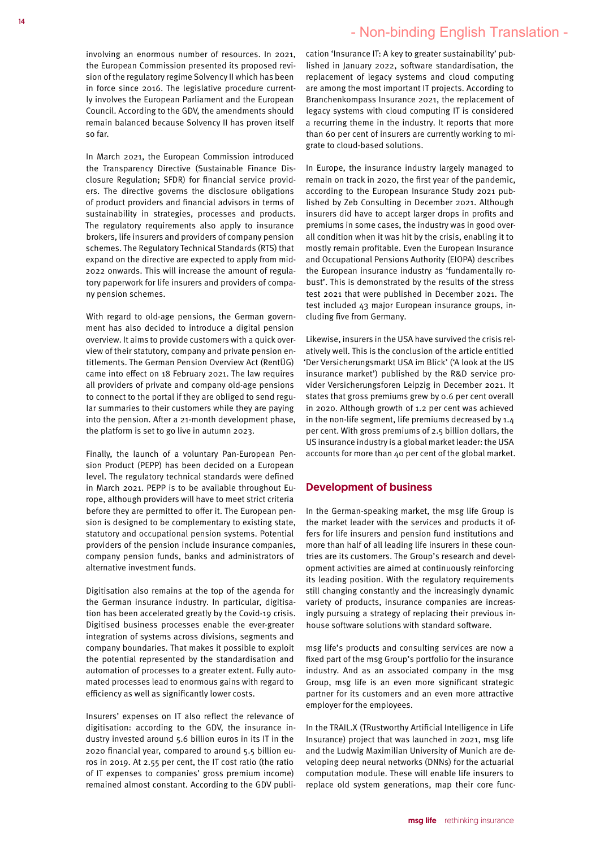involving an enormous number of resources. In 2021, the European Commission presented its proposed revision of the regulatory regime Solvency II which has been in force since 2016. The legislative procedure currently involves the European Parliament and the European Council. According to the GDV, the amendments should remain balanced because Solvency II has proven itself so far.

In March 2021, the European Commission introduced the Transparency Directive (Sustainable Finance Disclosure Regulation; SFDR) for financial service providers. The directive governs the disclosure obligations of product providers and financial advisors in terms of sustainability in strategies, processes and products. The regulatory requirements also apply to insurance brokers, life insurers and providers of company pension schemes. The Regulatory Technical Standards (RTS) that expand on the directive are expected to apply from mid-2022 onwards. This will increase the amount of regulatory paperwork for life insurers and providers of company pension schemes.

With regard to old-age pensions, the German government has also decided to introduce a digital pension overview. It aims to provide customers with a quick overview of their statutory, company and private pension entitlements. The German Pension Overview Act (RentÜG) came into effect on 18 February 2021. The law requires all providers of private and company old-age pensions to connect to the portal if they are obliged to send regular summaries to their customers while they are paying into the pension. After a 21-month development phase, the platform is set to go live in autumn 2023.

Finally, the launch of a voluntary Pan-European Pension Product (PEPP) has been decided on a European level. The regulatory technical standards were defined in March 2021. PEPP is to be available throughout Europe, although providers will have to meet strict criteria before they are permitted to offer it. The European pension is designed to be complementary to existing state, statutory and occupational pension systems. Potential providers of the pension include insurance companies, company pension funds, banks and administrators of alternative investment funds.

Digitisation also remains at the top of the agenda for the German insurance industry. In particular, digitisation has been accelerated greatly by the Covid-19 crisis. Digitised business processes enable the ever-greater integration of systems across divisions, segments and company boundaries. That makes it possible to exploit the potential represented by the standardisation and automation of processes to a greater extent. Fully automated processes lead to enormous gains with regard to efficiency as well as significantly lower costs.

Insurers' expenses on IT also reflect the relevance of digitisation: according to the GDV, the insurance industry invested around 5.6 billion euros in its IT in the 2020 financial year, compared to around 5.5 billion euros in 2019. At 2.55 per cent, the IT cost ratio (the ratio of IT expenses to companies' gross premium income) remained almost constant. According to the GDV publication 'Insurance IT: A key to greater sustainability' published in January 2022, software standardisation, the replacement of legacy systems and cloud computing are among the most important IT projects. According to Branchenkompass Insurance 2021, the replacement of legacy systems with cloud computing IT is considered a recurring theme in the industry. It reports that more than 60 per cent of insurers are currently working to migrate to cloud-based solutions.

In Europe, the insurance industry largely managed to remain on track in 2020, the first year of the pandemic, according to the European Insurance Study 2021 published by Zeb Consulting in December 2021. Although insurers did have to accept larger drops in profits and premiums in some cases, the industry was in good overall condition when it was hit by the crisis, enabling it to mostly remain profitable. Even the European Insurance and Occupational Pensions Authority (EIOPA) describes the European insurance industry as 'fundamentally robust'. This is demonstrated by the results of the stress test 2021 that were published in December 2021. The test included 43 major European insurance groups, including five from Germany.

Likewise, insurers in the USA have survived the crisis relatively well. This is the conclusion of the article entitled 'Der Versicherungsmarkt USA im Blick' ('A look at the US insurance market') published by the R&D service provider Versicherungsforen Leipzig in December 2021. It states that gross premiums grew by 0.6 per cent overall in 2020. Although growth of 1.2 per cent was achieved in the non-life segment, life premiums decreased by 1.4 per cent. With gross premiums of 2.5 billion dollars, the US insurance industry is a global market leader: the USA accounts for more than 40 per cent of the global market.

#### Development of business

In the German-speaking market, the msg life Group is the market leader with the services and products it offers for life insurers and pension fund institutions and more than half of all leading life insurers in these countries are its customers. The Group's research and development activities are aimed at continuously reinforcing its leading position. With the regulatory requirements still changing constantly and the increasingly dynamic variety of products, insurance companies are increasingly pursuing a strategy of replacing their previous inhouse software solutions with standard software.

msg life's products and consulting services are now a fixed part of the msg Group's portfolio for the insurance industry. And as an associated company in the msg Group, msg life is an even more significant strategic partner for its customers and an even more attractive employer for the employees.

In the TRAIL.X (TRustworthy Artificial Intelligence in Life Insurance) project that was launched in 2021, msg life and the Ludwig Maximilian University of Munich are developing deep neural networks (DNNs) for the actuarial computation module. These will enable life insurers to replace old system generations, map their core func-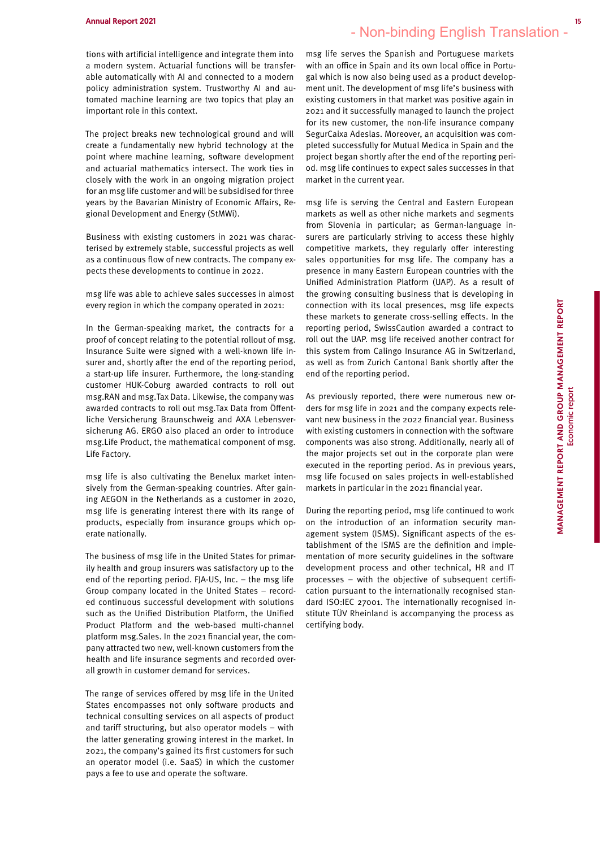tions with artificial intelligence and integrate them into a modern system. Actuarial functions will be transferable automatically with AI and connected to a modern policy administration system. Trustworthy AI and automated machine learning are two topics that play an important role in this context.

The project breaks new technological ground and will create a fundamentally new hybrid technology at the point where machine learning, software development and actuarial mathematics intersect. The work ties in closely with the work in an ongoing migration project for an msg life customer and will be subsidised for three years by the Bavarian Ministry of Economic Affairs, Regional Development and Energy (StMWi).

Business with existing customers in 2021 was characterised by extremely stable, successful projects as well as a continuous flow of new contracts. The company expects these developments to continue in 2022.

msg life was able to achieve sales successes in almost every region in which the company operated in 2021:

In the German-speaking market, the contracts for a proof of concept relating to the potential rollout of msg. Insurance Suite were signed with a well-known life insurer and, shortly after the end of the reporting period, a start-up life insurer. Furthermore, the long-standing customer HUK-Coburg awarded contracts to roll out msg.RAN and msg.Tax Data. Likewise, the company was awarded contracts to roll out msg.Tax Data from Öffentliche Versicherung Braunschweig and AXA Lebensversicherung AG. ERGO also placed an order to introduce msg.Life Product, the mathematical component of msg. Life Factory.

msg life is also cultivating the Benelux market intensively from the German-speaking countries. After gaining AEGON in the Netherlands as a customer in 2020, msg life is generating interest there with its range of products, especially from insurance groups which operate nationally.

The business of msg life in the United States for primarily health and group insurers was satisfactory up to the end of the reporting period. FJA-US, Inc. – the msg life Group company located in the United States – recorded continuous successful development with solutions such as the Unified Distribution Platform, the Unified Product Platform and the web-based multi-channel platform msg.Sales. In the 2021 financial year, the company attracted two new, well-known customers from the health and life insurance segments and recorded overall growth in customer demand for services.

The range of services offered by msg life in the United States encompasses not only software products and technical consulting services on all aspects of product and tariff structuring, but also operator models – with the latter generating growing interest in the market. In 2021, the company's gained its first customers for such an operator model (i.e. SaaS) in which the customer pays a fee to use and operate the software.

msg life serves the Spanish and Portuguese markets with an office in Spain and its own local office in Portugal which is now also being used as a product development unit. The development of msg life's business with existing customers in that market was positive again in 2021 and it successfully managed to launch the project for its new customer, the non-life insurance company SegurCaixa Adeslas. Moreover, an acquisition was completed successfully for Mutual Medica in Spain and the project began shortly after the end of the reporting period. msg life continues to expect sales successes in that market in the current year.

msg life is serving the Central and Eastern European markets as well as other niche markets and segments from Slovenia in particular; as German-language insurers are particularly striving to access these highly competitive markets, they regularly offer interesting sales opportunities for msg life. The company has a presence in many Eastern European countries with the Unified Administration Platform (UAP). As a result of the growing consulting business that is developing in connection with its local presences, msg life expects these markets to generate cross-selling effects. In the reporting period, SwissCaution awarded a contract to roll out the UAP. msg life received another contract for this system from Calingo Insurance AG in Switzerland, as well as from Zurich Cantonal Bank shortly after the end of the reporting period.

As previously reported, there were numerous new orders for msg life in 2021 and the company expects relevant new business in the 2022 financial year. Business with existing customers in connection with the software components was also strong. Additionally, nearly all of the major projects set out in the corporate plan were executed in the reporting period. As in previous years, msg life focused on sales projects in well-established markets in particular in the 2021 financial year.

During the reporting period, msg life continued to work on the introduction of an information security management system (ISMS). Significant aspects of the establishment of the ISMS are the definition and implementation of more security guidelines in the software development process and other technical, HR and IT processes – with the objective of subsequent certification pursuant to the internationally recognised standard ISO:IEC 27001. The internationally recognised institute TÜV Rheinland is accompanying the process as certifying body.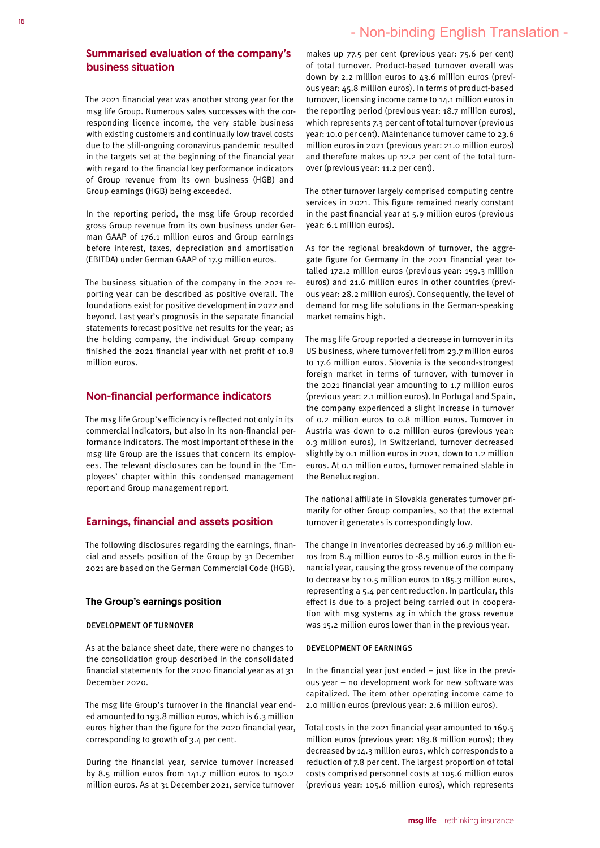#### Summarised evaluation of the company's business situation

The 2021 financial year was another strong year for the msg life Group. Numerous sales successes with the corresponding licence income, the very stable business with existing customers and continually low travel costs due to the still-ongoing coronavirus pandemic resulted in the targets set at the beginning of the financial year with regard to the financial key performance indicators of Group revenue from its own business (HGB) and Group earnings (HGB) being exceeded.

In the reporting period, the msg life Group recorded gross Group revenue from its own business under German GAAP of 176.1 million euros and Group earnings before interest, taxes, depreciation and amortisation (EBITDA) under German GAAP of 17.9 million euros.

The business situation of the company in the 2021 reporting year can be described as positive overall. The foundations exist for positive development in 2022 and beyond. Last year's prognosis in the separate financial statements forecast positive net results for the year; as the holding company, the individual Group company finished the 2021 financial year with net profit of 10.8 million euros.

#### Non-financial performance indicators

The msg life Group's efficiency is reflected not only in its commercial indicators, but also in its non-financial performance indicators. The most important of these in the msg life Group are the issues that concern its employees. The relevant disclosures can be found in the 'Employees' chapter within this condensed management report and Group management report.

#### Earnings, financial and assets position

The following disclosures regarding the earnings, financial and assets position of the Group by 31 December 2021 are based on the German Commercial Code (HGB).

#### The Group's earnings position

#### DEVELOPMENT OF TURNOVER

As at the balance sheet date, there were no changes to the consolidation group described in the consolidated financial statements for the 2020 financial year as at 31 December 2020.

The msg life Group's turnover in the financial year ended amounted to 193.8 million euros, which is 6.3 million euros higher than the figure for the 2020 financial year, corresponding to growth of 3.4 per cent.

During the financial year, service turnover increased by 8.5 million euros from 141.7 million euros to 150.2 million euros. As at 31 December 2021, service turnover

makes up 77.5 per cent (previous year: 75.6 per cent) of total turnover. Product-based turnover overall was down by 2.2 million euros to 43.6 million euros (previous year: 45.8 million euros). In terms of product-based turnover, licensing income came to 14.1 million euros in the reporting period (previous year: 18.7 million euros), which represents 7.3 per cent of total turnover (previous year: 10.0 per cent). Maintenance turnover came to 23.6 million euros in 2021 (previous year: 21.0 million euros) and therefore makes up 12.2 per cent of the total turnover (previous year: 11.2 per cent).

The other turnover largely comprised computing centre services in 2021. This figure remained nearly constant in the past financial year at 5.9 million euros (previous year: 6.1 million euros).

As for the regional breakdown of turnover, the aggregate figure for Germany in the 2021 financial year totalled 172.2 million euros (previous year: 159.3 million euros) and 21.6 million euros in other countries (previous year: 28.2 million euros). Consequently, the level of demand for msg life solutions in the German-speaking market remains high.

The msg life Group reported a decrease in turnover in its US business, where turnover fell from 23.7 million euros to 17.6 million euros. Slovenia is the second-strongest foreign market in terms of turnover, with turnover in the 2021 financial year amounting to 1.7 million euros (previous year: 2.1 million euros). In Portugal and Spain, the company experienced a slight increase in turnover of 0.2 million euros to 0.8 million euros. Turnover in Austria was down to 0.2 million euros (previous year: 0.3 million euros), In Switzerland, turnover decreased slightly by 0.1 million euros in 2021, down to 1.2 million euros. At 0.1 million euros, turnover remained stable in the Benelux region.

The national affiliate in Slovakia generates turnover primarily for other Group companies, so that the external turnover it generates is correspondingly low.

The change in inventories decreased by 16.9 million euros from 8.4 million euros to -8.5 million euros in the financial year, causing the gross revenue of the company to decrease by 10.5 million euros to 185.3 million euros, representing a 5.4 per cent reduction. In particular, this effect is due to a project being carried out in cooperation with msg systems ag in which the gross revenue was 15.2 million euros lower than in the previous year.

#### DEVELOPMENT OF EARNINGS

In the financial year just ended – just like in the previous year – no development work for new software was capitalized. The item other operating income came to 2.0 million euros (previous year: 2.6 million euros).

Total costs in the 2021 financial year amounted to 169.5 million euros (previous year: 183.8 million euros); they decreased by 14.3 million euros, which corresponds to a reduction of 7.8 per cent. The largest proportion of total costs comprised personnel costs at 105.6 million euros (previous year: 105.6 million euros), which represents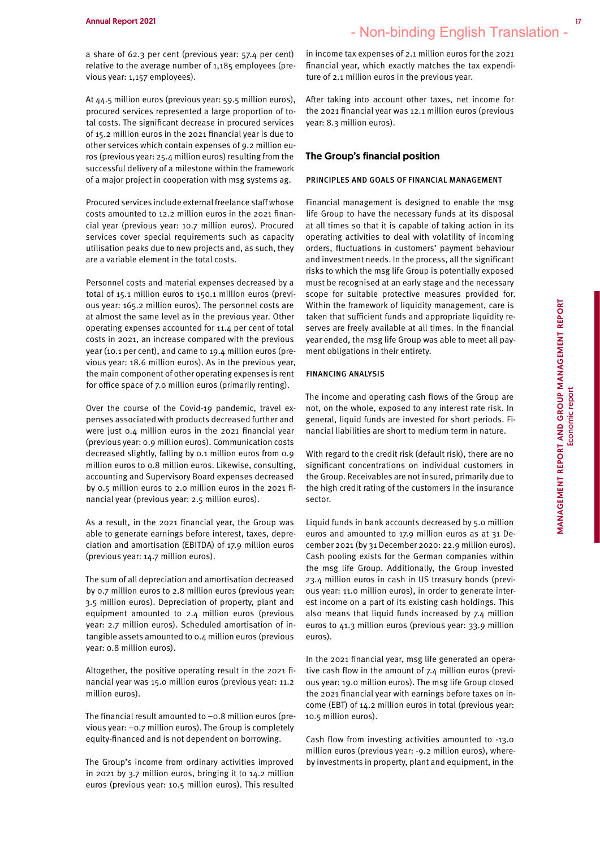a share of 62.3 per cent (previous year: 57.4 per cent) relative to the average number of 1,185 employees (previous year: 1,157 employees).

At 44.5 million euros (previous year: 59.5 million euros), procured services represented a large proportion of total costs. The significant decrease in procured services of 15.2 million euros in the 2021 financial year is due to other services which contain expenses of 9.2 million euros (previous year: 25.4 million euros) resulting from the successful delivery of a milestone within the framework of a major project in cooperation with msg systems ag.

Procured services include external freelance staff whose costs amounted to 12.2 million euros in the 2021 financial year (previous year: 10.7 million euros). Procured services cover special requirements such as capacity utilisation peaks due to new projects and, as such, they are a variable element in the total costs.

Personnel costs and material expenses decreased by a total of 15.1 million euros to 150.1 million euros (previous year: 165.2 million euros). The personnel costs are at almost the same level as in the previous year. Other operating expenses accounted for 11.4 per cent of total costs in 2021, an increase compared with the previous year (10.1 per cent), and came to 19.4 million euros (previous year: 18.6 million euros). As in the previous year, the main component of other operating expenses is rent for office space of 7.0 million euros (primarily renting).

Over the course of the Covid-19 pandemic, travel expenses associated with products decreased further and were just 0.4 million euros in the 2021 financial year (previous year: 0.9 million euros). Communication costs decreased slightly, falling by 0.1 million euros from 0.9 million euros to 0.8 million euros. Likewise, consulting, accounting and Supervisory Board expenses decreased by 0.5 million euros to 2.0 million euros in the 2021 financial year (previous year: 2.5 million euros).

As a result, in the 2021 financial year, the Group was able to generate earnings before interest, taxes, depreciation and amortisation (EBITDA) of 17.9 million euros (previous year: 14.7 million euros).

The sum of all depreciation and amortisation decreased by 0.7 million euros to 2.8 million euros (previous year: 3.5 million euros). Depreciation of property, plant and equipment amounted to 2.4 million euros (previous year: 2.7 million euros). Scheduled amortisation of intangible assets amounted to 0.4 million euros (previous year: 0.8 million euros).

Altogether, the positive operating result in the 2021 financial year was 15.0 million euros (previous year: 11.2 million euros).

The financial result amounted to –0.8 million euros (previous year: –0.7 million euros). The Group is completely equity-financed and is not dependent on borrowing.

The Group's income from ordinary activities improved in 2021 by 3.7 million euros, bringing it to 14.2 million euros (previous year: 10.5 million euros). This resulted

in income tax expenses of 2.1 million euros for the 2021 financial year, which exactly matches the tax expenditure of 2.1 million euros in the previous year.

After taking into account other taxes, net income for the 2021 financial year was 12.1 million euros (previous year: 8.3 million euros).

#### The Group's financial position

#### PRINCIPLES AND GOALS OF FINANCIAL MANAGEMENT

Financial management is designed to enable the msg life Group to have the necessary funds at its disposal at all times so that it is capable of taking action in its operating activities to deal with volatility of incoming orders, fluctuations in customers' payment behaviour and investment needs. In the process, all the significant risks to which the msg life Group is potentially exposed must be recognised at an early stage and the necessary scope for suitable protective measures provided for. Within the framework of liquidity management, care is taken that sufficient funds and appropriate liquidity reserves are freely available at all times. In the financial year ended, the msg life Group was able to meet all payment obligations in their entirety.

#### FINANCING ANALYSIS

The income and operating cash flows of the Group are not, on the whole, exposed to any interest rate risk. In general, liquid funds are invested for short periods. Financial liabilities are short to medium term in nature.

With regard to the credit risk (default risk), there are no significant concentrations on individual customers in the Group. Receivables are not insured, primarily due to the high credit rating of the customers in the insurance sector.

Liquid funds in bank accounts decreased by 5.0 million euros and amounted to 17.9 million euros as at 31 December 2021 (by 31 December 2020: 22.9 million euros). Cash pooling exists for the German companies within the msg life Group. Additionally, the Group invested 23.4 million euros in cash in US treasury bonds (previous year: 11.0 million euros), in order to generate interest income on a part of its existing cash holdings. This also means that liquid funds increased by 7.4 million euros to 41.3 million euros (previous year: 33.9 million euros).

In the 2021 financial year, msg life generated an operative cash flow in the amount of 7.4 million euros (previous year: 19.0 million euros). The msg life Group closed the 2021 financial year with earnings before taxes on income (EBT) of 14.2 million euros in total (previous year: 10.5 million euros).

Cash flow from investing activities amounted to -13.0 million euros (previous year: -9.2 million euros), whereby investments in property, plant and equipment, in the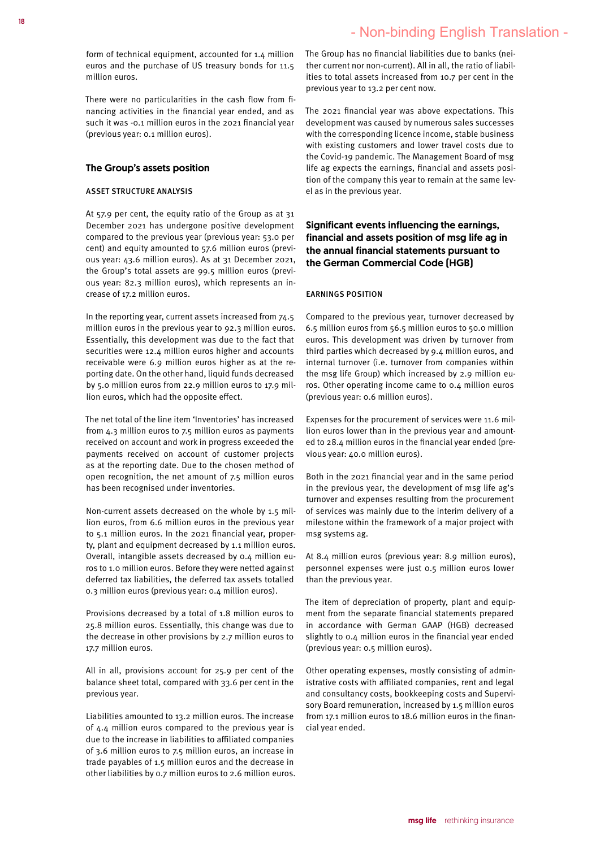form of technical equipment, accounted for 1.4 million euros and the purchase of US treasury bonds for 11.5 million euros.

There were no particularities in the cash flow from financing activities in the financial year ended, and as such it was -0.1 million euros in the 2021 financial year (previous year: 0.1 million euros).

#### The Group's assets position

#### ASSET STRUCTURE ANALYSIS

At 57.9 per cent, the equity ratio of the Group as at 31 December 2021 has undergone positive development compared to the previous year (previous year: 53.0 per cent) and equity amounted to 57.6 million euros (previous year: 43.6 million euros). As at 31 December 2021, the Group's total assets are 99.5 million euros (previous year: 82.3 million euros), which represents an increase of 17.2 million euros.

In the reporting year, current assets increased from 74.5 million euros in the previous year to 92.3 million euros. Essentially, this development was due to the fact that securities were 12.4 million euros higher and accounts receivable were 6.9 million euros higher as at the reporting date. On the other hand, liquid funds decreased by 5.0 million euros from 22.9 million euros to 17.9 million euros, which had the opposite effect.

The net total of the line item 'Inventories' has increased from 4.3 million euros to 7.5 million euros as payments received on account and work in progress exceeded the payments received on account of customer projects as at the reporting date. Due to the chosen method of open recognition, the net amount of 7.5 million euros has been recognised under inventories.

Non-current assets decreased on the whole by 1.5 million euros, from 6.6 million euros in the previous year to 5.1 million euros. In the 2021 financial year, property, plant and equipment decreased by 1.1 million euros. Overall, intangible assets decreased by 0.4 million euros to 1.0 million euros. Before they were netted against deferred tax liabilities, the deferred tax assets totalled 0.3 million euros (previous year: 0.4 million euros).

Provisions decreased by a total of 1.8 million euros to 25.8 million euros. Essentially, this change was due to the decrease in other provisions by 2.7 million euros to 17.7 million euros.

All in all, provisions account for 25.9 per cent of the balance sheet total, compared with 33.6 per cent in the previous year.

Liabilities amounted to 13.2 million euros. The increase of 4.4 million euros compared to the previous year is due to the increase in liabilities to affiliated companies of 3.6 million euros to 7.5 million euros, an increase in trade payables of 1.5 million euros and the decrease in other liabilities by 0.7 million euros to 2.6 million euros. The Group has no financial liabilities due to banks (neither current nor non-current). All in all, the ratio of liabilities to total assets increased from 10.7 per cent in the previous year to 13.2 per cent now.

The 2021 financial year was above expectations. This development was caused by numerous sales successes with the corresponding licence income, stable business with existing customers and lower travel costs due to the Covid-19 pandemic. The Management Board of msg life ag expects the earnings, financial and assets position of the company this year to remain at the same level as in the previous year.

#### Significant events influencing the earnings, financial and assets position of msg life ag in the annual financial statements pursuant to the German Commercial Code (HGB)

#### EARNINGS POSITION

Compared to the previous year, turnover decreased by 6.5 million euros from 56.5 million euros to 50.0 million euros. This development was driven by turnover from third parties which decreased by 9.4 million euros, and internal turnover (i.e. turnover from companies within the msg life Group) which increased by 2.9 million euros. Other operating income came to 0.4 million euros (previous year: 0.6 million euros).

Expenses for the procurement of services were 11.6 million euros lower than in the previous year and amounted to 28.4 million euros in the financial year ended (previous year: 40.0 million euros).

Both in the 2021 financial year and in the same period in the previous year, the development of msg life ag's turnover and expenses resulting from the procurement of services was mainly due to the interim delivery of a milestone within the framework of a major project with msg systems ag.

At 8.4 million euros (previous year: 8.9 million euros), personnel expenses were just 0.5 million euros lower than the previous year.

The item of depreciation of property, plant and equipment from the separate financial statements prepared in accordance with German GAAP (HGB) decreased slightly to 0.4 million euros in the financial year ended (previous year: 0.5 million euros).

Other operating expenses, mostly consisting of administrative costs with affiliated companies, rent and legal and consultancy costs, bookkeeping costs and Supervisory Board remuneration, increased by 1.5 million euros from 17.1 million euros to 18.6 million euros in the financial year ended.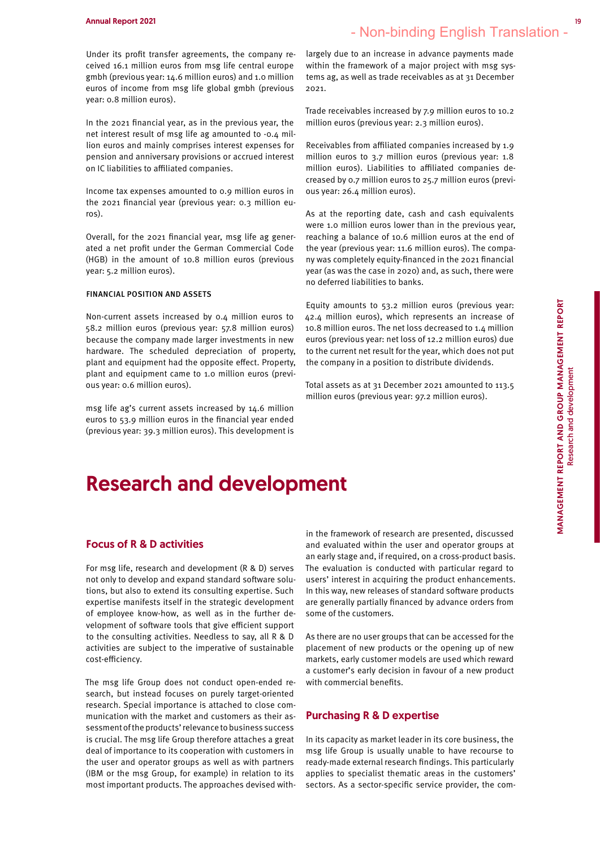<span id="page-10-0"></span>Under its profit transfer agreements, the company received 16.1 million euros from msg life central europe gmbh (previous year: 14.6 million euros) and 1.0 million euros of income from msg life global gmbh (previous year: 0.8 million euros).

In the 2021 financial year, as in the previous year, the net interest result of msg life ag amounted to -0.4 million euros and mainly comprises interest expenses for pension and anniversary provisions or accrued interest on IC liabilities to affiliated companies.

Income tax expenses amounted to 0.9 million euros in the 2021 financial year (previous year: 0.3 million euros).

Overall, for the 2021 financial year, msg life ag generated a net profit under the German Commercial Code (HGB) in the amount of 10.8 million euros (previous year: 5.2 million euros).

#### FINANCIAL POSITION AND ASSETS

Non-current assets increased by 0.4 million euros to 58.2 million euros (previous year: 57.8 million euros) because the company made larger investments in new hardware. The scheduled depreciation of property, plant and equipment had the opposite effect. Property, plant and equipment came to 1.0 million euros (previous year: 0.6 million euros).

msg life ag's current assets increased by 14.6 million euros to 53.9 million euros in the financial year ended (previous year: 39.3 million euros). This development is

largely due to an increase in advance payments made within the framework of a major project with msg systems ag, as well as trade receivables as at 31 December 2021.

Trade receivables increased by 7.9 million euros to 10.2 million euros (previous year: 2.3 million euros).

Receivables from affiliated companies increased by 1.9 million euros to 3.7 million euros (previous year: 1.8 million euros). Liabilities to affiliated companies decreased by 0.7 million euros to 25.7 million euros (previous year: 26.4 million euros).

As at the reporting date, cash and cash equivalents were 1.0 million euros lower than in the previous year, reaching a balance of 10.6 million euros at the end of the year (previous year: 11.6 million euros). The company was completely equity-financed in the 2021 financial year (as was the case in 2020) and, as such, there were no deferred liabilities to banks.

Equity amounts to 53.2 million euros (previous year: 42.4 million euros), which represents an increase of 10.8 million euros. The net loss decreased to 1.4 million euros (previous year: net loss of 12.2 million euros) due to the current net result for the year, which does not put the company in a position to distribute dividends.

Total assets as at 31 December 2021 amounted to 113.5 million euros (previous year: 97.2 million euros).

# Research and development

#### Focus of R & D activities

For msg life, research and development (R & D) serves not only to develop and expand standard software solutions, but also to extend its consulting expertise. Such expertise manifests itself in the strategic development of employee know-how, as well as in the further development of software tools that give efficient support to the consulting activities. Needless to say, all R & D activities are subject to the imperative of sustainable cost-efficiency.

The msg life Group does not conduct open-ended research, but instead focuses on purely target-oriented research. Special importance is attached to close communication with the market and customers as their assessment of the products' relevance to business success is crucial. The msg life Group therefore attaches a great deal of importance to its cooperation with customers in the user and operator groups as well as with partners (IBM or the msg Group, for example) in relation to its most important products. The approaches devised with-

in the framework of research are presented, discussed and evaluated within the user and operator groups at an early stage and, if required, on a cross-product basis. The evaluation is conducted with particular regard to users' interest in acquiring the product enhancements. In this way, new releases of standard software products are generally partially financed by advance orders from some of the customers.

As there are no user groups that can be accessed for the placement of new products or the opening up of new markets, early customer models are used which reward a customer's early decision in favour of a new product with commercial benefits.

#### Purchasing R & D expertise

In its capacity as market leader in its core business, the msg life Group is usually unable to have recourse to ready-made external research findings. This particularly applies to specialist thematic areas in the customers' sectors. As a sector-specific service provider, the com-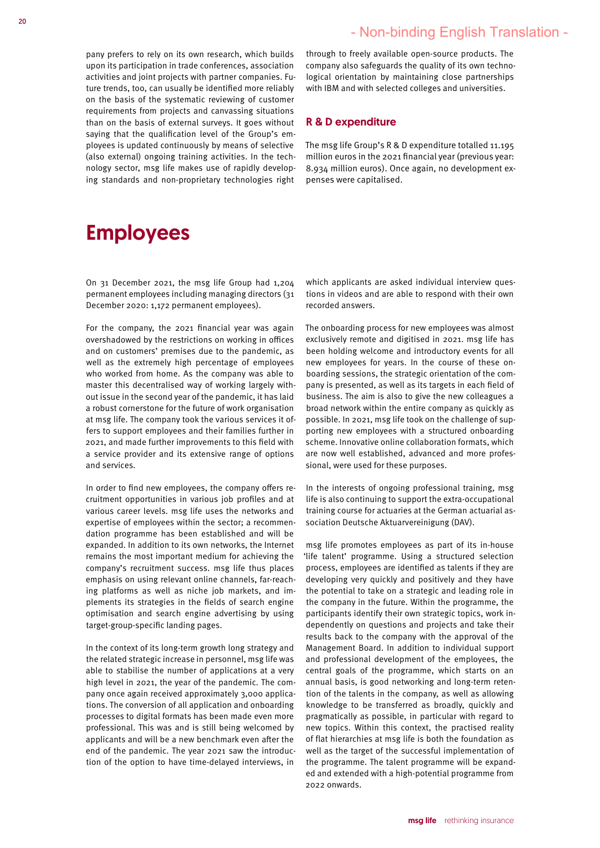<span id="page-11-0"></span>pany prefers to rely on its own research, which builds upon its participation in trade conferences, association activities and joint projects with partner companies. Future trends, too, can usually be identified more reliably on the basis of the systematic reviewing of customer requirements from projects and canvassing situations than on the basis of external surveys. It goes without saying that the qualification level of the Group's employees is updated continuously by means of selective (also external) ongoing training activities. In the technology sector, msg life makes use of rapidly developing standards and non-proprietary technologies right

through to freely available open-source products. The company also safeguards the quality of its own technological orientation by maintaining close partnerships with IBM and with selected colleges and universities.

#### R & D expenditure

The msg life Group's R & D expenditure totalled 11.195 million euros in the 2021 financial year (previous year: 8.934 million euros). Once again, no development expenses were capitalised.

# Employees

On 31 December 2021, the msg life Group had 1,204 permanent employees including managing directors (31 December 2020: 1,172 permanent employees).

For the company, the 2021 financial year was again overshadowed by the restrictions on working in offices and on customers' premises due to the pandemic, as well as the extremely high percentage of employees who worked from home. As the company was able to master this decentralised way of working largely without issue in the second year of the pandemic, it has laid a robust cornerstone for the future of work organisation at msg life. The company took the various services it offers to support employees and their families further in 2021, and made further improvements to this field with a service provider and its extensive range of options and services.

In order to find new employees, the company offers recruitment opportunities in various job profiles and at various career levels. msg life uses the networks and expertise of employees within the sector; a recommendation programme has been established and will be expanded. In addition to its own networks, the Internet remains the most important medium for achieving the company's recruitment success. msg life thus places emphasis on using relevant online channels, far-reaching platforms as well as niche job markets, and implements its strategies in the fields of search engine optimisation and search engine advertising by using target-group-specific landing pages.

In the context of its long-term growth long strategy and the related strategic increase in personnel, msg life was able to stabilise the number of applications at a very high level in 2021, the year of the pandemic. The company once again received approximately 3,000 applications. The conversion of all application and onboarding processes to digital formats has been made even more professional. This was and is still being welcomed by applicants and will be a new benchmark even after the end of the pandemic. The year 2021 saw the introduction of the option to have time-delayed interviews, in

which applicants are asked individual interview questions in videos and are able to respond with their own recorded answers.

The onboarding process for new employees was almost exclusively remote and digitised in 2021. msg life has been holding welcome and introductory events for all new employees for years. In the course of these onboarding sessions, the strategic orientation of the company is presented, as well as its targets in each field of business. The aim is also to give the new colleagues a broad network within the entire company as quickly as possible. In 2021, msg life took on the challenge of supporting new employees with a structured onboarding scheme. Innovative online collaboration formats, which are now well established, advanced and more professional, were used for these purposes.

In the interests of ongoing professional training, msg life is also continuing to support the extra-occupational training course for actuaries at the German actuarial association Deutsche Aktuarvereinigung (DAV).

msg life promotes employees as part of its in-house 'life talent' programme. Using a structured selection process, employees are identified as talents if they are developing very quickly and positively and they have the potential to take on a strategic and leading role in the company in the future. Within the programme, the participants identify their own strategic topics, work independently on questions and projects and take their results back to the company with the approval of the Management Board. In addition to individual support and professional development of the employees, the central goals of the programme, which starts on an annual basis, is good networking and long-term retention of the talents in the company, as well as allowing knowledge to be transferred as broadly, quickly and pragmatically as possible, in particular with regard to new topics. Within this context, the practised reality of flat hierarchies at msg life is both the foundation as well as the target of the successful implementation of the programme. The talent programme will be expanded and extended with a high-potential programme from 2022 onwards.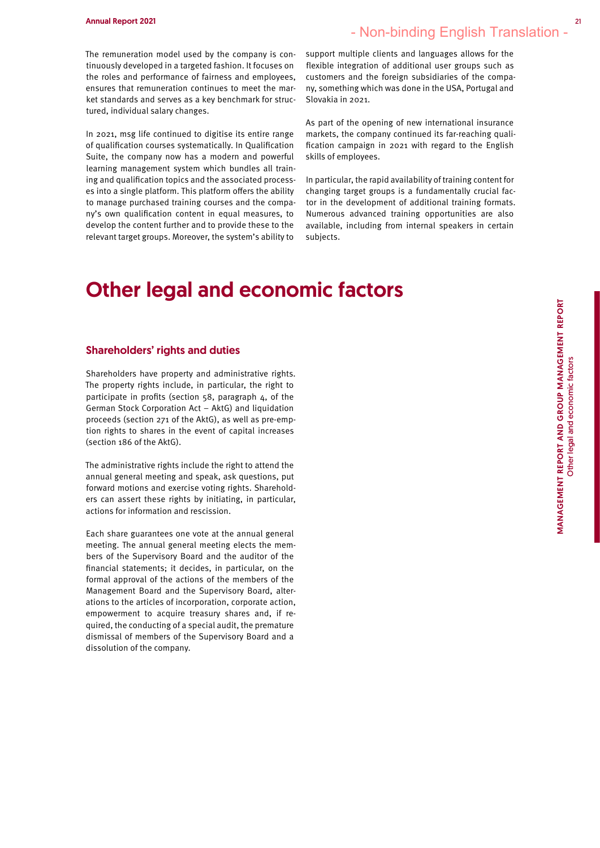<span id="page-12-0"></span>The remuneration model used by the company is continuously developed in a targeted fashion. It focuses on the roles and performance of fairness and employees, ensures that remuneration continues to meet the market standards and serves as a key benchmark for structured, individual salary changes.

In 2021, msg life continued to digitise its entire range of qualification courses systematically. In Qualification Suite, the company now has a modern and powerful learning management system which bundles all training and qualification topics and the associated processes into a single platform. This platform offers the ability to manage purchased training courses and the company's own qualification content in equal measures, to develop the content further and to provide these to the relevant target groups. Moreover, the system's ability to

support multiple clients and languages allows for the flexible integration of additional user groups such as customers and the foreign subsidiaries of the company, something which was done in the USA, Portugal and Slovakia in 2021.

As part of the opening of new international insurance markets, the company continued its far-reaching qualification campaign in 2021 with regard to the English skills of employees.

In particular, the rapid availability of training content for changing target groups is a fundamentally crucial factor in the development of additional training formats. Numerous advanced training opportunities are also available, including from internal speakers in certain subjects.

# Other legal and economic factors

#### Shareholders' rights and duties

Shareholders have property and administrative rights. The property rights include, in particular, the right to participate in profits (section 58, paragraph 4, of the German Stock Corporation Act – AktG) and liquidation proceeds (section 271 of the AktG), as well as pre-emption rights to shares in the event of capital increases (section 186 of the AktG).

The administrative rights include the right to attend the annual general meeting and speak, ask questions, put forward motions and exercise voting rights. Shareholders can assert these rights by initiating, in particular, actions for information and rescission.

Each share guarantees one vote at the annual general meeting. The annual general meeting elects the members of the Supervisory Board and the auditor of the financial statements; it decides, in particular, on the formal approval of the actions of the members of the Management Board and the Supervisory Board, alterations to the articles of incorporation, corporate action, empowerment to acquire treasury shares and, if required, the conducting of a special audit, the premature dismissal of members of the Supervisory Board and a dissolution of the company.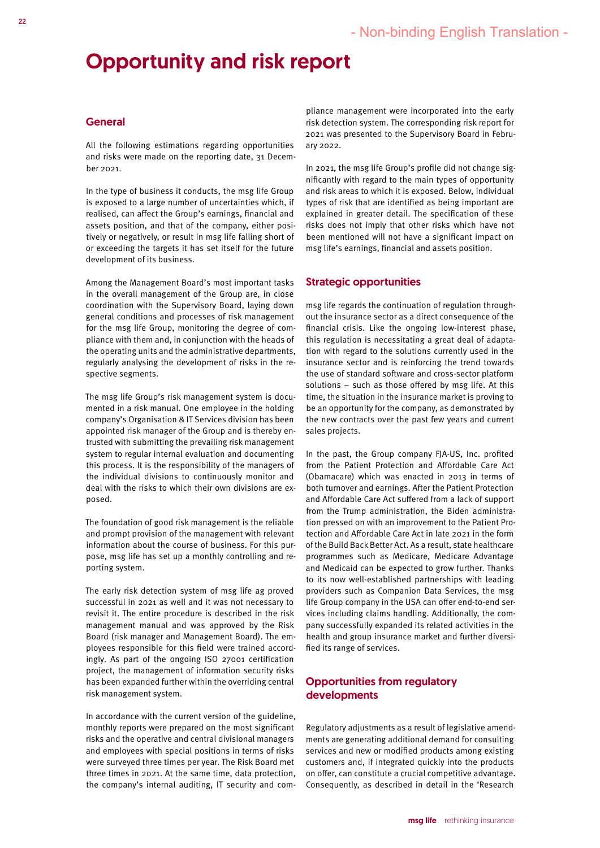# <span id="page-13-0"></span>Opportunity and risk report

#### General

All the following estimations regarding opportunities and risks were made on the reporting date, 31 December 2021.

In the type of business it conducts, the msg life Group is exposed to a large number of uncertainties which, if realised, can affect the Group's earnings, financial and assets position, and that of the company, either positively or negatively, or result in msg life falling short of or exceeding the targets it has set itself for the future development of its business.

Among the Management Board's most important tasks in the overall management of the Group are, in close coordination with the Supervisory Board, laying down general conditions and processes of risk management for the msg life Group, monitoring the degree of compliance with them and, in conjunction with the heads of the operating units and the administrative departments, regularly analysing the development of risks in the respective segments.

The msg life Group's risk management system is documented in a risk manual. One employee in the holding company's Organisation & IT Services division has been appointed risk manager of the Group and is thereby entrusted with submitting the prevailing risk management system to regular internal evaluation and documenting this process. It is the responsibility of the managers of the individual divisions to continuously monitor and deal with the risks to which their own divisions are exposed.

The foundation of good risk management is the reliable and prompt provision of the management with relevant information about the course of business. For this purpose, msg life has set up a monthly controlling and reporting system.

The early risk detection system of msg life ag proved successful in 2021 as well and it was not necessary to revisit it. The entire procedure is described in the risk management manual and was approved by the Risk Board (risk manager and Management Board). The employees responsible for this field were trained accordingly. As part of the ongoing ISO 27001 certification project, the management of information security risks has been expanded further within the overriding central risk management system.

In accordance with the current version of the guideline, monthly reports were prepared on the most significant risks and the operative and central divisional managers and employees with special positions in terms of risks were surveyed three times per year. The Risk Board met three times in 2021. At the same time, data protection, the company's internal auditing, IT security and com-

pliance management were incorporated into the early risk detection system. The corresponding risk report for 2021 was presented to the Supervisory Board in February 2022.

In 2021, the msg life Group's profile did not change significantly with regard to the main types of opportunity and risk areas to which it is exposed. Below, individual types of risk that are identified as being important are explained in greater detail. The specification of these risks does not imply that other risks which have not been mentioned will not have a significant impact on msg life's earnings, financial and assets position.

#### Strategic opportunities

msg life regards the continuation of regulation throughout the insurance sector as a direct consequence of the financial crisis. Like the ongoing low-interest phase, this regulation is necessitating a great deal of adaptation with regard to the solutions currently used in the insurance sector and is reinforcing the trend towards the use of standard software and cross-sector platform solutions – such as those offered by msg life. At this time, the situation in the insurance market is proving to be an opportunity for the company, as demonstrated by the new contracts over the past few years and current sales projects.

In the past, the Group company FJA-US, Inc. profited from the Patient Protection and Affordable Care Act (Obamacare) which was enacted in 2013 in terms of both turnover and earnings. After the Patient Protection and Affordable Care Act suffered from a lack of support from the Trump administration, the Biden administration pressed on with an improvement to the Patient Protection and Affordable Care Act in late 2021 in the form of the Build Back Better Act. As a result, state healthcare programmes such as Medicare, Medicare Advantage and Medicaid can be expected to grow further. Thanks to its now well-established partnerships with leading providers such as Companion Data Services, the msg life Group company in the USA can offer end-to-end services including claims handling. Additionally, the company successfully expanded its related activities in the health and group insurance market and further diversified its range of services.

#### Opportunities from regulatory developments

Regulatory adjustments as a result of legislative amendments are generating additional demand for consulting services and new or modified products among existing customers and, if integrated quickly into the products on offer, can constitute a crucial competitive advantage. Consequently, as described in detail in the 'Research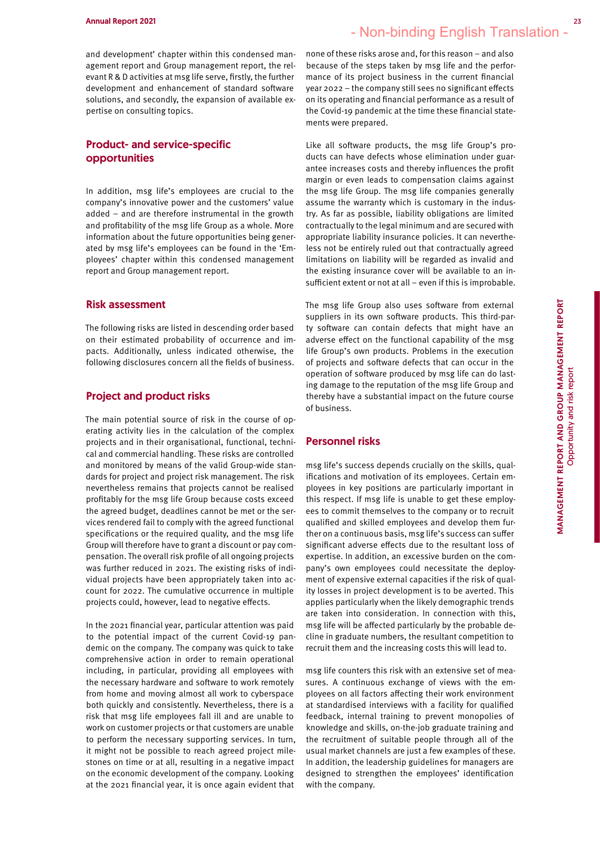and development' chapter within this condensed management report and Group management report, the relevant R & D activities at msg life serve, firstly, the further development and enhancement of standard software solutions, and secondly, the expansion of available expertise on consulting topics.

#### Product- and service-specific opportunities

In addition, msg life's employees are crucial to the company's innovative power and the customers' value added – and are therefore instrumental in the growth and profitability of the msg life Group as a whole. More information about the future opportunities being generated by msg life's employees can be found in the 'Employees' chapter within this condensed management report and Group management report.

#### Risk assessment

The following risks are listed in descending order based on their estimated probability of occurrence and impacts. Additionally, unless indicated otherwise, the following disclosures concern all the fields of business.

#### Project and product risks

The main potential source of risk in the course of operating activity lies in the calculation of the complex projects and in their organisational, functional, technical and commercial handling. These risks are controlled and monitored by means of the valid Group-wide standards for project and project risk management. The risk nevertheless remains that projects cannot be realised profitably for the msg life Group because costs exceed the agreed budget, deadlines cannot be met or the services rendered fail to comply with the agreed functional specifications or the required quality, and the msg life Group will therefore have to grant a discount or pay compensation. The overall risk profile of all ongoing projects was further reduced in 2021. The existing risks of individual projects have been appropriately taken into account for 2022. The cumulative occurrence in multiple projects could, however, lead to negative effects.

In the 2021 financial year, particular attention was paid to the potential impact of the current Covid-19 pandemic on the company. The company was quick to take comprehensive action in order to remain operational including, in particular, providing all employees with the necessary hardware and software to work remotely from home and moving almost all work to cyberspace both quickly and consistently. Nevertheless, there is a risk that msg life employees fall ill and are unable to work on customer projects or that customers are unable to perform the necessary supporting services. In turn, it might not be possible to reach agreed project milestones on time or at all, resulting in a negative impact on the economic development of the company. Looking at the 2021 financial year, it is once again evident that

none of these risks arose and, for this reason – and also because of the steps taken by msg life and the performance of its project business in the current financial year 2022 – the company still sees no significant effects on its operating and financial performance as a result of the Covid-19 pandemic at the time these financial statements were prepared.

Like all software products, the msg life Group's products can have defects whose elimination under guarantee increases costs and thereby influences the profit margin or even leads to compensation claims against the msg life Group. The msg life companies generally assume the warranty which is customary in the industry. As far as possible, liability obligations are limited contractually to the legal minimum and are secured with appropriate liability insurance policies. It can nevertheless not be entirely ruled out that contractually agreed limitations on liability will be regarded as invalid and the existing insurance cover will be available to an insufficient extent or not at all – even if this is improbable.

The msg life Group also uses software from external suppliers in its own software products. This third-party software can contain defects that might have an adverse effect on the functional capability of the msg life Group's own products. Problems in the execution of projects and software defects that can occur in the operation of software produced by msg life can do lasting damage to the reputation of the msg life Group and thereby have a substantial impact on the future course of business.

#### Personnel risks

msg life's success depends crucially on the skills, qualifications and motivation of its employees. Certain employees in key positions are particularly important in this respect. If msg life is unable to get these employees to commit themselves to the company or to recruit qualified and skilled employees and develop them further on a continuous basis, msg life's success can suffer significant adverse effects due to the resultant loss of expertise. In addition, an excessive burden on the company's own employees could necessitate the deployment of expensive external capacities if the risk of quality losses in project development is to be averted. This applies particularly when the likely demographic trends are taken into consideration. In connection with this, msg life will be affected particularly by the probable decline in graduate numbers, the resultant competition to recruit them and the increasing costs this will lead to.

msg life counters this risk with an extensive set of measures. A continuous exchange of views with the employees on all factors affecting their work environment at standardised interviews with a facility for qualified feedback, internal training to prevent monopolies of knowledge and skills, on-the-job graduate training and the recruitment of suitable people through all of the usual market channels are just a few examples of these. In addition, the leadership guidelines for managers are designed to strengthen the employees' identification with the company.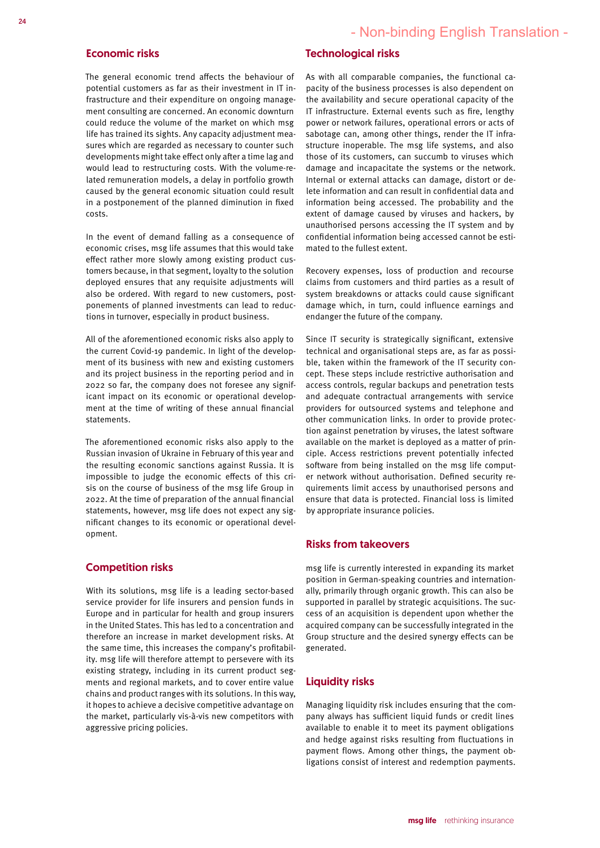#### Economic risks

The general economic trend affects the behaviour of potential customers as far as their investment in IT infrastructure and their expenditure on ongoing management consulting are concerned. An economic downturn could reduce the volume of the market on which msg life has trained its sights. Any capacity adjustment measures which are regarded as necessary to counter such developments might take effect only after a time lag and would lead to restructuring costs. With the volume-related remuneration models, a delay in portfolio growth caused by the general economic situation could result in a postponement of the planned diminution in fixed costs.

In the event of demand falling as a consequence of economic crises, msg life assumes that this would take effect rather more slowly among existing product customers because, in that segment, loyalty to the solution deployed ensures that any requisite adjustments will also be ordered. With regard to new customers, postponements of planned investments can lead to reductions in turnover, especially in product business.

All of the aforementioned economic risks also apply to the current Covid-19 pandemic. In light of the development of its business with new and existing customers and its project business in the reporting period and in 2022 so far, the company does not foresee any significant impact on its economic or operational development at the time of writing of these annual financial statements.

The aforementioned economic risks also apply to the Russian invasion of Ukraine in February of this year and the resulting economic sanctions against Russia. It is impossible to judge the economic effects of this crisis on the course of business of the msg life Group in 2022. At the time of preparation of the annual financial statements, however, msg life does not expect any significant changes to its economic or operational development.

#### Competition risks

With its solutions, msg life is a leading sector-based service provider for life insurers and pension funds in Europe and in particular for health and group insurers in the United States. This has led to a concentration and therefore an increase in market development risks. At the same time, this increases the company's profitability. msg life will therefore attempt to persevere with its existing strategy, including in its current product segments and regional markets, and to cover entire value chains and product ranges with its solutions. In this way, it hopes to achieve a decisive competitive advantage on the market, particularly vis-à-vis new competitors with aggressive pricing policies.

#### Technological risks

As with all comparable companies, the functional capacity of the business processes is also dependent on the availability and secure operational capacity of the IT infrastructure. External events such as fire, lengthy power or network failures, operational errors or acts of sabotage can, among other things, render the IT infrastructure inoperable. The msg life systems, and also those of its customers, can succumb to viruses which damage and incapacitate the systems or the network. Internal or external attacks can damage, distort or delete information and can result in confidential data and information being accessed. The probability and the extent of damage caused by viruses and hackers, by unauthorised persons accessing the IT system and by confidential information being accessed cannot be estimated to the fullest extent.

Recovery expenses, loss of production and recourse claims from customers and third parties as a result of system breakdowns or attacks could cause significant damage which, in turn, could influence earnings and endanger the future of the company.

Since IT security is strategically significant, extensive technical and organisational steps are, as far as possible, taken within the framework of the IT security concept. These steps include restrictive authorisation and access controls, regular backups and penetration tests and adequate contractual arrangements with service providers for outsourced systems and telephone and other communication links. In order to provide protection against penetration by viruses, the latest software available on the market is deployed as a matter of principle. Access restrictions prevent potentially infected software from being installed on the msg life computer network without authorisation. Defined security requirements limit access by unauthorised persons and ensure that data is protected. Financial loss is limited by appropriate insurance policies.

#### Risks from takeovers

msg life is currently interested in expanding its market position in German-speaking countries and internationally, primarily through organic growth. This can also be supported in parallel by strategic acquisitions. The success of an acquisition is dependent upon whether the acquired company can be successfully integrated in the Group structure and the desired synergy effects can be generated.

#### Liquidity risks

Managing liquidity risk includes ensuring that the company always has sufficient liquid funds or credit lines available to enable it to meet its payment obligations and hedge against risks resulting from fluctuations in payment flows. Among other things, the payment obligations consist of interest and redemption payments.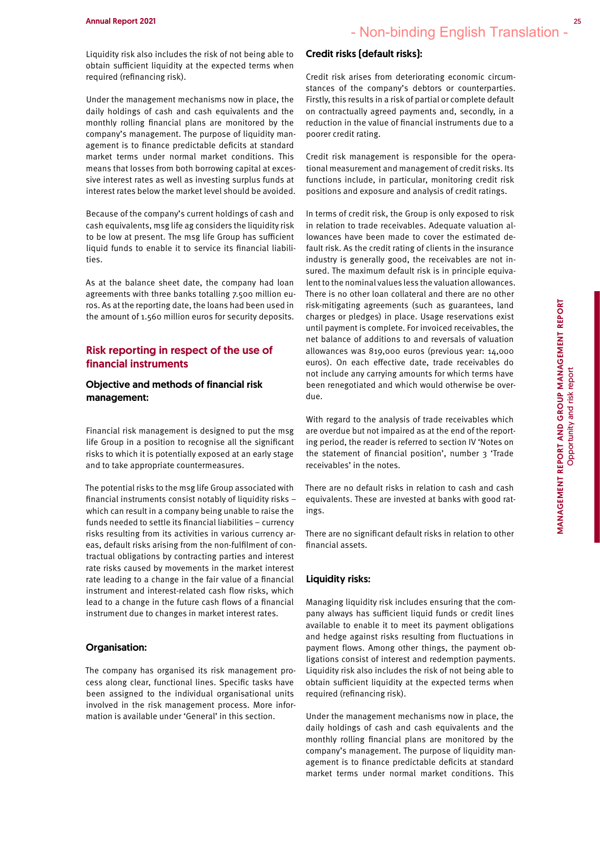Liquidity risk also includes the risk of not being able to obtain sufficient liquidity at the expected terms when required (refinancing risk).

Under the management mechanisms now in place, the daily holdings of cash and cash equivalents and the monthly rolling financial plans are monitored by the company's management. The purpose of liquidity management is to finance predictable deficits at standard market terms under normal market conditions. This means that losses from both borrowing capital at excessive interest rates as well as investing surplus funds at interest rates below the market level should be avoided.

Because of the company's current holdings of cash and cash equivalents, msg life ag considers the liquidity risk to be low at present. The msg life Group has sufficient liquid funds to enable it to service its financial liabilities.

As at the balance sheet date, the company had loan agreements with three banks totalling 7.500 million euros. As at the reporting date, the loans had been used in the amount of 1.560 million euros for security deposits.

#### Risk reporting in respect of the use of financial instruments

#### Objective and methods of financial risk management:

Financial risk management is designed to put the msg life Group in a position to recognise all the significant risks to which it is potentially exposed at an early stage and to take appropriate countermeasures.

The potential risks to the msg life Group associated with financial instruments consist notably of liquidity risks – which can result in a company being unable to raise the funds needed to settle its financial liabilities – currency risks resulting from its activities in various currency areas, default risks arising from the non-fulfilment of contractual obligations by contracting parties and interest rate risks caused by movements in the market interest rate leading to a change in the fair value of a financial instrument and interest-related cash flow risks, which lead to a change in the future cash flows of a financial instrument due to changes in market interest rates.

#### Organisation:

The company has organised its risk management process along clear, functional lines. Specific tasks have been assigned to the individual organisational units involved in the risk management process. More information is available under 'General' in this section.

#### Credit risks (default risks):

Credit risk arises from deteriorating economic circumstances of the company's debtors or counterparties. Firstly, this results in a risk of partial or complete default on contractually agreed payments and, secondly, in a reduction in the value of financial instruments due to a poorer credit rating.

Credit risk management is responsible for the operational measurement and management of credit risks. Its functions include, in particular, monitoring credit risk positions and exposure and analysis of credit ratings.

In terms of credit risk, the Group is only exposed to risk in relation to trade receivables. Adequate valuation allowances have been made to cover the estimated default risk. As the credit rating of clients in the insurance industry is generally good, the receivables are not insured. The maximum default risk is in principle equivalent to the nominal values less the valuation allowances. There is no other loan collateral and there are no other risk-mitigating agreements (such as guarantees, land charges or pledges) in place. Usage reservations exist until payment is complete. For invoiced receivables, the net balance of additions to and reversals of valuation allowances was 819,000 euros (previous year: 14,000 euros). On each effective date, trade receivables do not include any carrying amounts for which terms have been renegotiated and which would otherwise be overdue.

With regard to the analysis of trade receivables which are overdue but not impaired as at the end of the reporting period, the reader is referred to section IV 'Notes on the statement of financial position', number 3 'Trade receivables' in the notes.

There are no default risks in relation to cash and cash equivalents. These are invested at banks with good ratings.

There are no significant default risks in relation to other financial assets.

#### Liquidity risks:

Managing liquidity risk includes ensuring that the company always has sufficient liquid funds or credit lines available to enable it to meet its payment obligations and hedge against risks resulting from fluctuations in payment flows. Among other things, the payment obligations consist of interest and redemption payments. Liquidity risk also includes the risk of not being able to obtain sufficient liquidity at the expected terms when required (refinancing risk).

Under the management mechanisms now in place, the daily holdings of cash and cash equivalents and the monthly rolling financial plans are monitored by the company's management. The purpose of liquidity management is to finance predictable deficits at standard market terms under normal market conditions. This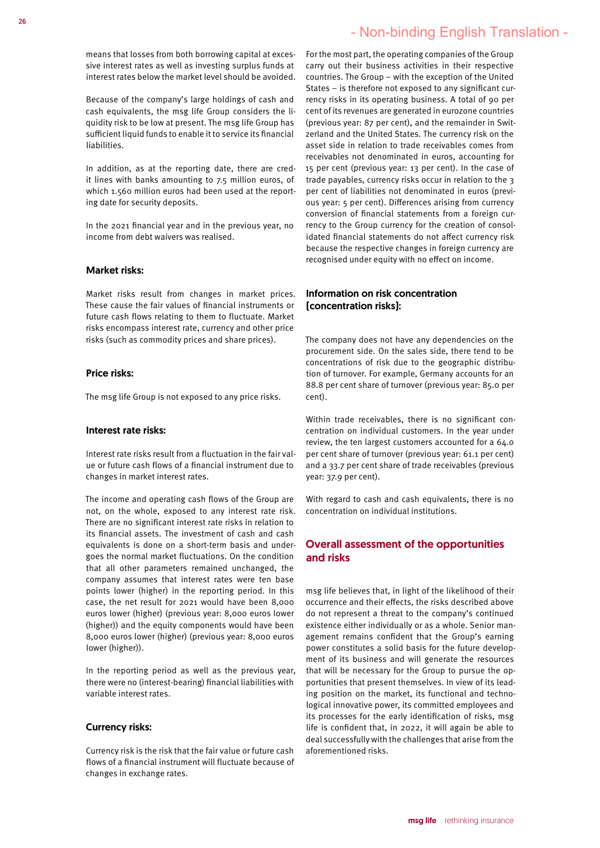means that losses from both borrowing capital at excessive interest rates as well as investing surplus funds at interest rates below the market level should be avoided.

Because of the company's large holdings of cash and cash equivalents, the msg life Group considers the liquidity risk to be low at present. The msg life Group has sufficient liquid funds to enable it to service its financial liabilities.

In addition, as at the reporting date, there are credit lines with banks amounting to 7.5 million euros, of which 1.560 million euros had been used at the reporting date for security deposits.

In the 2021 financial year and in the previous year, no income from debt waivers was realised.

#### Market risks:

Market risks result from changes in market prices. These cause the fair values of financial instruments or future cash flows relating to them to fluctuate. Market risks encompass interest rate, currency and other price risks (such as commodity prices and share prices).

#### Price risks:

The msg life Group is not exposed to any price risks.

#### Interest rate risks:

Interest rate risks result from a fluctuation in the fair value or future cash flows of a financial instrument due to changes in market interest rates.

The income and operating cash flows of the Group are not, on the whole, exposed to any interest rate risk. There are no significant interest rate risks in relation to its financial assets. The investment of cash and cash equivalents is done on a short-term basis and undergoes the normal market fluctuations. On the condition that all other parameters remained unchanged, the company assumes that interest rates were ten base points lower (higher) in the reporting period. In this case, the net result for 2021 would have been 8,000 euros lower (higher) (previous year: 8,000 euros lower (higher)) and the equity components would have been 8,000 euros lower (higher) (previous year: 8,000 euros lower (higher)).

In the reporting period as well as the previous year, there were no (interest-bearing) financial liabilities with variable interest rates.

#### Currency risks:

Currency risk is the risk that the fair value or future cash flows of a financial instrument will fluctuate because of changes in exchange rates.

For the most part, the operating companies of the Group carry out their business activities in their respective countries. The Group – with the exception of the United States – is therefore not exposed to any significant currency risks in its operating business. A total of 90 per cent of its revenues are generated in eurozone countries (previous year: 87 per cent), and the remainder in Switzerland and the United States. The currency risk on the asset side in relation to trade receivables comes from receivables not denominated in euros, accounting for 15 per cent (previous year: 13 per cent). In the case of trade payables, currency risks occur in relation to the 3 per cent of liabilities not denominated in euros (previous year: 5 per cent). Differences arising from currency conversion of financial statements from a foreign currency to the Group currency for the creation of consolidated financial statements do not affect currency risk because the respective changes in foreign currency are recognised under equity with no effect on income.

#### Information on risk concentration (concentration risks):

The company does not have any dependencies on the procurement side. On the sales side, there tend to be concentrations of risk due to the geographic distribution of turnover. For example, Germany accounts for an 88.8 per cent share of turnover (previous year: 85.0 per cent).

Within trade receivables, there is no significant concentration on individual customers. In the year under review, the ten largest customers accounted for a 64.0 per cent share of turnover (previous year: 61.1 per cent) and a 33.7 per cent share of trade receivables (previous year: 37.9 per cent).

With regard to cash and cash equivalents, there is no concentration on individual institutions.

#### Overall assessment of the opportunities and risks

msg life believes that, in light of the likelihood of their occurrence and their effects, the risks described above do not represent a threat to the company's continued existence either individually or as a whole. Senior management remains confident that the Group's earning power constitutes a solid basis for the future development of its business and will generate the resources that will be necessary for the Group to pursue the opportunities that present themselves. In view of its leading position on the market, its functional and technological innovative power, its committed employees and its processes for the early identification of risks, msg life is confident that, in 2022, it will again be able to deal successfully with the challenges that arise from the aforementioned risks.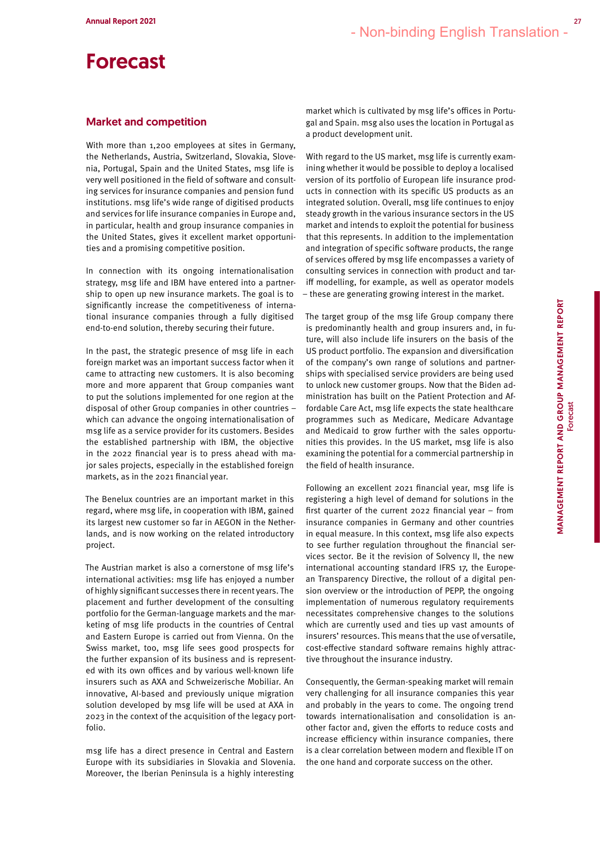# <span id="page-18-0"></span>Forecast

#### Market and competition

With more than 1,200 employees at sites in Germany, the Netherlands, Austria, Switzerland, Slovakia, Slovenia, Portugal, Spain and the United States, msg life is very well positioned in the field of software and consulting services for insurance companies and pension fund institutions. msg life's wide range of digitised products and services for life insurance companies in Europe and, in particular, health and group insurance companies in the United States, gives it excellent market opportunities and a promising competitive position.

In connection with its ongoing internationalisation strategy, msg life and IBM have entered into a partnership to open up new insurance markets. The goal is to significantly increase the competitiveness of international insurance companies through a fully digitised end-to-end solution, thereby securing their future.

In the past, the strategic presence of msg life in each foreign market was an important success factor when it came to attracting new customers. It is also becoming more and more apparent that Group companies want to put the solutions implemented for one region at the disposal of other Group companies in other countries – which can advance the ongoing internationalisation of msg life as a service provider for its customers. Besides the established partnership with IBM, the objective in the 2022 financial year is to press ahead with major sales projects, especially in the established foreign markets, as in the 2021 financial year.

The Benelux countries are an important market in this regard, where msg life, in cooperation with IBM, gained its largest new customer so far in AEGON in the Netherlands, and is now working on the related introductory project.

The Austrian market is also a cornerstone of msg life's international activities: msg life has enjoyed a number of highly significant successes there in recent years. The placement and further development of the consulting portfolio for the German-language markets and the marketing of msg life products in the countries of Central and Eastern Europe is carried out from Vienna. On the Swiss market, too, msg life sees good prospects for the further expansion of its business and is represented with its own offices and by various well-known life insurers such as AXA and Schweizerische Mobiliar. An innovative, AI-based and previously unique migration solution developed by msg life will be used at AXA in 2023 in the context of the acquisition of the legacy portfolio.

msg life has a direct presence in Central and Eastern Europe with its subsidiaries in Slovakia and Slovenia. Moreover, the Iberian Peninsula is a highly interesting

market which is cultivated by msg life's offices in Portugal and Spain. msg also uses the location in Portugal as a product development unit.

With regard to the US market, msg life is currently examining whether it would be possible to deploy a localised version of its portfolio of European life insurance products in connection with its specific US products as an integrated solution. Overall, msg life continues to enjoy steady growth in the various insurance sectors in the US market and intends to exploit the potential for business that this represents. In addition to the implementation and integration of specific software products, the range of services offered by msg life encompasses a variety of consulting services in connection with product and tariff modelling, for example, as well as operator models – these are generating growing interest in the market.

The target group of the msg life Group company there is predominantly health and group insurers and, in future, will also include life insurers on the basis of the US product portfolio. The expansion and diversification of the company's own range of solutions and partnerships with specialised service providers are being used to unlock new customer groups. Now that the Biden administration has built on the Patient Protection and Affordable Care Act, msg life expects the state healthcare programmes such as Medicare, Medicare Advantage and Medicaid to grow further with the sales opportunities this provides. In the US market, msg life is also examining the potential for a commercial partnership in the field of health insurance.

Following an excellent 2021 financial year, msg life is registering a high level of demand for solutions in the first quarter of the current 2022 financial year – from insurance companies in Germany and other countries in equal measure. In this context, msg life also expects to see further regulation throughout the financial services sector. Be it the revision of Solvency II, the new international accounting standard IFRS 17, the European Transparency Directive, the rollout of a digital pension overview or the introduction of PEPP, the ongoing implementation of numerous regulatory requirements necessitates comprehensive changes to the solutions which are currently used and ties up vast amounts of insurers' resources. This means that the use of versatile, cost-effective standard software remains highly attractive throughout the insurance industry.

Consequently, the German-speaking market will remain very challenging for all insurance companies this year and probably in the years to come. The ongoing trend towards internationalisation and consolidation is another factor and, given the efforts to reduce costs and increase efficiency within insurance companies, there is a clear correlation between modern and flexible IT on the one hand and corporate success on the other.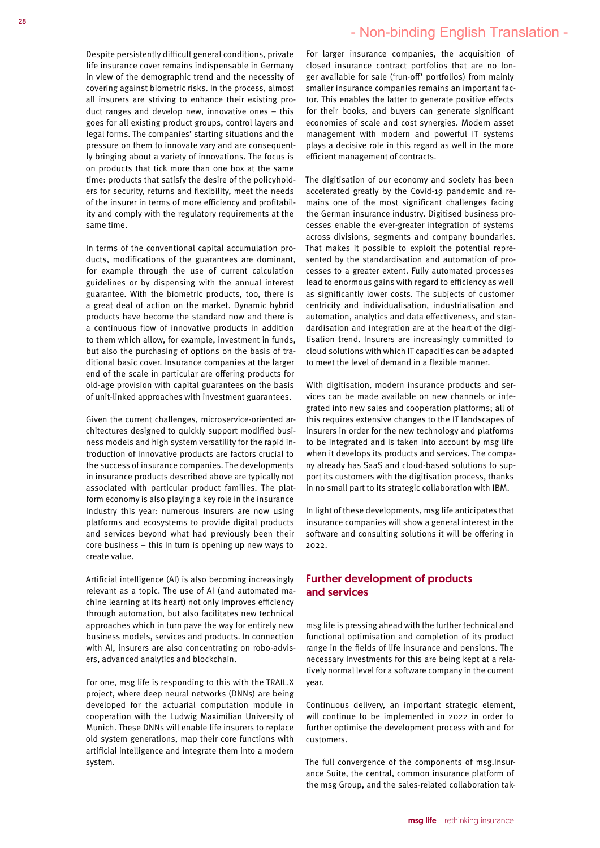Despite persistently difficult general conditions, private life insurance cover remains indispensable in Germany in view of the demographic trend and the necessity of covering against biometric risks. In the process, almost all insurers are striving to enhance their existing product ranges and develop new, innovative ones – this goes for all existing product groups, control layers and legal forms. The companies' starting situations and the pressure on them to innovate vary and are consequently bringing about a variety of innovations. The focus is on products that tick more than one box at the same time: products that satisfy the desire of the policyholders for security, returns and flexibility, meet the needs of the insurer in terms of more efficiency and profitability and comply with the regulatory requirements at the same time.

In terms of the conventional capital accumulation products, modifications of the guarantees are dominant, for example through the use of current calculation guidelines or by dispensing with the annual interest guarantee. With the biometric products, too, there is a great deal of action on the market. Dynamic hybrid products have become the standard now and there is a continuous flow of innovative products in addition to them which allow, for example, investment in funds, but also the purchasing of options on the basis of traditional basic cover. Insurance companies at the larger end of the scale in particular are offering products for old-age provision with capital guarantees on the basis of unit-linked approaches with investment guarantees.

Given the current challenges, microservice-oriented architectures designed to quickly support modified business models and high system versatility for the rapid introduction of innovative products are factors crucial to the success of insurance companies. The developments in insurance products described above are typically not associated with particular product families. The platform economy is also playing a key role in the insurance industry this year: numerous insurers are now using platforms and ecosystems to provide digital products and services beyond what had previously been their core business – this in turn is opening up new ways to create value.

Artificial intelligence (AI) is also becoming increasingly relevant as a topic. The use of AI (and automated machine learning at its heart) not only improves efficiency through automation, but also facilitates new technical approaches which in turn pave the way for entirely new business models, services and products. In connection with AI, insurers are also concentrating on robo-advisers, advanced analytics and blockchain.

For one, msg life is responding to this with the TRAIL.X project, where deep neural networks (DNNs) are being developed for the actuarial computation module in cooperation with the Ludwig Maximilian University of Munich. These DNNs will enable life insurers to replace old system generations, map their core functions with artificial intelligence and integrate them into a modern system.

For larger insurance companies, the acquisition of closed insurance contract portfolios that are no longer available for sale ('run-off' portfolios) from mainly smaller insurance companies remains an important factor. This enables the latter to generate positive effects for their books, and buyers can generate significant economies of scale and cost synergies. Modern asset management with modern and powerful IT systems plays a decisive role in this regard as well in the more efficient management of contracts.

The digitisation of our economy and society has been accelerated greatly by the Covid-19 pandemic and remains one of the most significant challenges facing the German insurance industry. Digitised business processes enable the ever-greater integration of systems across divisions, segments and company boundaries. That makes it possible to exploit the potential represented by the standardisation and automation of processes to a greater extent. Fully automated processes lead to enormous gains with regard to efficiency as well as significantly lower costs. The subjects of customer centricity and individualisation, industrialisation and automation, analytics and data effectiveness, and standardisation and integration are at the heart of the digitisation trend. Insurers are increasingly committed to cloud solutions with which IT capacities can be adapted to meet the level of demand in a flexible manner.

With digitisation, modern insurance products and services can be made available on new channels or integrated into new sales and cooperation platforms; all of this requires extensive changes to the IT landscapes of insurers in order for the new technology and platforms to be integrated and is taken into account by msg life when it develops its products and services. The company already has SaaS and cloud-based solutions to support its customers with the digitisation process, thanks in no small part to its strategic collaboration with IBM.

In light of these developments, msg life anticipates that insurance companies will show a general interest in the software and consulting solutions it will be offering in 2022.

#### Further development of products and services

msg life is pressing ahead with the further technical and functional optimisation and completion of its product range in the fields of life insurance and pensions. The necessary investments for this are being kept at a relatively normal level for a software company in the current year.

Continuous delivery, an important strategic element, will continue to be implemented in 2022 in order to further optimise the development process with and for customers.

The full convergence of the components of msg.Insurance Suite, the central, common insurance platform of the msg Group, and the sales-related collaboration tak-